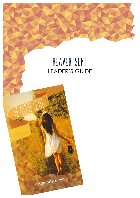# Heaven Sent LEADER'S GUIDE

Amanda Bews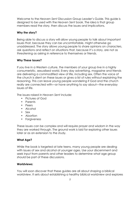Welcome to the *Heaven Sent* Discussion Group Leader's Guide. This guide is designed to be used with the *Heaven Sent* book. The idea is that group members read the story, then discuss the issues and implications.

#### **Why the story?**

Being able to discuss a story will allow young people to talk about important issues that, because they can be uncomfortable, might otherwise go unaddressed. The story allows young people to share opinions on characters, ask questions and reflect on situations that, because it's a story, are not as threatening as asking in reference to themselves or friends.

#### **Why These Issues?**

If you live in a Western culture, the members of your group live in a highly consumeristic, sexualised world. Every day advertising, magazine and friends are delivering a commodified view of life, including sex. Often the voice of the church is silent on these issues or gives a list of rules without explaining the reasoning. This can leave young people wondering if God and the church really are connected with—or have anything to say about—the everyday issues of life.

The issues raised in *Heaven Sent* include:

- Pictures of God
- Parents
- Peers
- Alcohol
- Sex
- Abortion
- Forgiveness

These issues can be complex and will require prayer and wisdom in the way they are worked through. The ground work is laid for exploring other issues later or as an extension to the study.

#### **What Age?**

While the book is targeted at late teens, many young people are dealing with issues of sex and alcohol at younger ages. Use your discernment and seek input from parents and other leaders to determine what age group should be part of these discussions.

#### **Worldviews:**

You will soon discover that these guides are all about shaping a biblical worldview. It sets about establishing a healthy biblical worldview and explores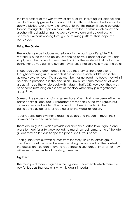the implications of this worldview for areas of life, including sex, alcohol and health. The early guides focus on establishing this worldview. The later studies apply a biblical worldview to everyday life. For this reason it would be useful to work through the topics in order. When we look at issues such as sex and alcohol without addressing the worldview, we can end up addressing behaviour without working through the thinking patterns that shape this behaviour.

#### **Using The Guide:**

The leader's guide includes material not in the participant's guide. This material is in the shaded boxes. Depending on your personal style, you can simply read the material, summarise it or find other material that makes the point. Maybe you can find current news stories that also help make the point.

Encourage your group members to read the story as there are a lot of thought-provoking issues raised that are not necessarily addressed in the guides. However, even if a group member has not read the book, they will still be able to participate in the discussion. Obviously, some members of your group will read the whole book within days—that's OK. However, they may need some refreshing on aspects of the story when they join together for group time.

Some of the guides contain larger sections of text that have been left in the participant's guides. You will probably not read this in the small group but rather summarise the idea. The material has been included in the participant's guide for later reading or for individual reflection.

Ideally, participants will have read the guides and thought through their answers before discussion time.

There are 13 guides, which provides for a whole quarter. If your group only plans to meet for a 10-week period, to match school terms, some of the later guides may be left out. Shape the process to fit your needs.

Each guide starts out with quotes from the story. This is to refresh group members about the issues Heaven is working through and set the context for the discussion. You don't have to read these in your group time; rather they will serve as a reminder of the story, if needed.

#### **Big Idea:**

The main point for each guide is the Big Idea. Underneath which there is a box for leaders that explains why this idea is important.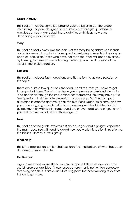#### **Group Activity:**

This section includes some ice-breaker style activities to get the group interacting. They are designed to require no previous group or biblical knowledge. You might adapt these activities or think up new ones depending on your context.

#### **Story:**

This section briefly overviews the points of the story being addressed in that particular lesson. It usually includes questions relating to events in the story to open up discussion. Those who have not read the book will get an overview by listening to these answers allowing them to join in the discussion of the issues in the Explore section.

#### **Explore:**

This section includes facts, questions and illustrations to guide discussion on the topic.

There are quite a few questions provided. Don't feel that you have to get through all of them. The aim is to have young people understand the main idea and think through the implications for themselves. You may have just a few questions that stimulate discussion in your group. Don't end a good discussion in order to get through all the questions. Rather think through how your group is going in relationship to connecting with the big idea for that guide. You may wish to skip some questions or even add some of your own if you feel that will work better with your group.

#### **Look:**

This section of the guide explores a Bible passage/s that highlights aspects of the main idea. You will need to adapt how you work this section in relation to the biblical literacy of your group.

#### **What Now:**

This is the application section that explores the implications of what has been discussed for everyday life.

#### **Go Deeper:**

If group members would like to explore a topic a little more deeply, some useful resources are listed. These resources are mostly not written purposely for young people but are a useful starting point for those wanting to explore the concept more.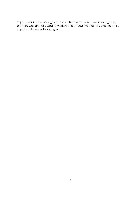Enjoy coordinating your group. Pray lots for each member of your group, prepare well and ask God to work in and through you as you explore these important topics with your group.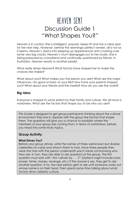## Heaven Sent Discussion Guide 1 "What Shapes You?"

Heaven is in control. She is intelligent, popular, keeps fit and has a clear plan for her next step. However, behind the seemingly perfect veneer, all is not as it seems. Heaven's dad is into keeping up appearances and covering over some very big cracks. Heaven's mum disengages out to her studio. She is being pressured by a boyfriend and continually questioned by friends. In frustration, Heaven resorts to another playlist.

What really drives Heaven? What factors have shaped her to make the choices she makes?

What about you? What makes you the person you are? What are the major influences—for good or bad—in your life? How have your parents shaped you? What about your friends and the media? How do you see the world?

## **Big Idea:**

Everyone is shaped to some extent by their family and culture. We all have a worldview. What are the factors that shape you to be who you are?

This Guide is designed to get group participants thinking about the cultural environment they live in. Explore with the group the factors that shape them. The questions will give you a chance to establish where the members of your group are coming from, in terms of worldviews, before you head into some tricky topics.

## **Group Activity:**

#### **What Drives You?**

Before your group arrives, write the names of three well-known but diverse celebrities on cards and attach them to hats. Have three people then wear the hats with the person underneath each name not knowing who they are. In turn, they are able to ask questions of the group. The first question must start with "Am I driven by . . . ?" (Options might include looks, power, fame, money, revenge, etc.) If the answer is yes, they get to ask another question. If no, the next person gets to ask until someone works out whose name is on their head. Then spend some time talking about what factors drive celebrity culture.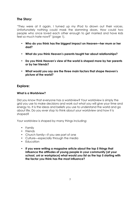## **The Story:**

"They were at it again. I turned up my iPod to drown out their voices. Unfortunately nothing could mask the slamming doors. How could two people who once loved each other enough to get married and have kids feel so much hate now?" (page 1).

- **Who do you think has the biggest impact on Heaven—her mum or her dad?**
- **What do you think Heaven's parents taught her about relationships?**
- **Do you think Heaven's view of the world is shaped more by her parents or by her friends?**
- **What would you say are the three main factors that shape Heaven's picture of the world?**

### **Explore:**

#### **What is a Worldview?**

Did you know that everyone has a worldview? Your worldview is simply the grid you use to make decisions and work out what you will give your time and energy to. It is the ideas and beliefs you use to understand the world and go about life. Do you ever stop to think about your worldview and how it is shaped?

Your worldview is shaped by many things including:

- Family
- Friends
- Church family—if you are part of one
- Culture—especially through the media
- Education
- **If you were writing a magazine article about the top 5 things that influence the attitudes of young people in your community (at your school, uni or workplace) what would you list as the top 5 starting with the factor you think has the most influence?**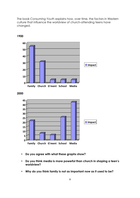The book *Consuming Youth* explains how, over time, the factors in Western culture that influence the worldview of church-attending teens have changed.





- **Do you agree with what these graphs show?**
- **Do you think media is more powerful than church in shaping a teen's worldview?**
- **Why do you think family is not as important now as it used to be?**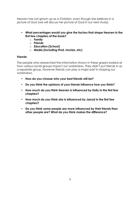Heaven has not grown up as a Christian, even though she believes in a picture of God (we will discuss her picture of God in our next study).

- **What percentages would you give the factors that shape Heaven in the first few chapters of the book?**
	- o **Family**
	- o **Friends**
	- o **Education (School)**
	- o **Media (including iPod, movies, etc)**

#### **Friends:**

The people who researched the information shown in these graphs looked at how various social groups impact our worldviews. They didn't put friends in as a separate group. However friends can play a major part in shaping our worldviews.

- **How do you choose who your best friends will be?**
- **Do you think the opinions of your friends influence how you think?**
- **How much do you think Heaven is influenced by Kelly in the first few chapters?**
- **How much do you think she is influenced by Jarrod in the first few chapters?**
- **Do you think some people are more influenced by their friends than other people are? What do you think makes the difference?**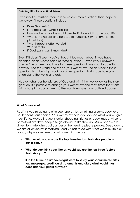#### **Building Blocks of a Worldview**

Even if not a Christian, there are some common questions that shape a worldview. These questions include:

- Does God exist?
- If He does exist, what is He like?
- How and why was the world created? (How did I come about?)
- What is the nature and purpose of humanity? (What am I on this planet for?)
- What happens after we die?
- What is truth?
- If God exists, can I know Him?

Even if it doesn't seem you've thought too much about it, you have decided an answer to each of these questions—even if your answer is unsure. The answers you have for these questions have a lot to do with how you see the world and shape your worldview. The answers to these questions form building blocks for other questions that shape how you understand the world and act.

Heaven changes her picture of God and with it her worldview as the story goes on. It is possible to change your worldview and most times that starts with changing your answers to the worldview questions outlined above.

#### **What Drives You?**

Reality is you're going to give your energy to something or somebody, even if not by conscious choice. Your worldview helps you decide what you will give your life to. Maybe it's your studies, shopping, friends or body image. All sorts of motivations drive people to go about life like they do. Many people are driven by materialism, guilt, anger or the need to please people. Deep down, we are all driven by something. Mostly it has to do with what we think life is all about, why we are here and who we think we are.

- **What would you say are the top three factors that drive people in our society?**
- **What do you think your friends would say are the top three factors that drive you?**
- **If in the future an archaeologist were to study your social media sites, text messages, credit card statements and diary what would they conclude your priorities were?**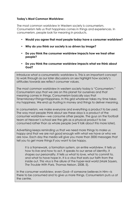#### **Today's Most Common Worldview:**

The most common worldview in Western society is consumerism. Consumerism tells us that happiness comes in things and experiences. In consumerism, people look for meaning in products.

- **Would you agree that most people today have a consumer worldview?**
- **Why do you think our society is so driven by image?**
- **Do you think the consumer worldview impacts how we treat other people?**
- **Do you think the consumer worldview impacts what we think about God?**

Introduce what a consumeristic worldview is. This is an important concept to work through as our later discussions on sex highlight how society's attitudes towards sex reflect consumer values.

The most common worldview in western society today is "Consumerism." Consumerism says that we are on this planet for ourselves and that meaning comes in things. Consumerism basically says that Time=Money=Things=Happiness. In this grid whatever takes my time takes my happiness. We end up trusting in money and things to deliver meaning.

In consumerism, we make everyone and everything a product to be used. The way most people think about sex these days is a product of the consumer worldview—we consume other people. The guys on the football team at Heaven's school see the girls as a physical product to be consumed rather than as whole people (we'll talk about this more later).

Advertising keeps reminding us that we need more things to make us happy and that we are not good enough with what we have or who we are now. Each day the media will give you more than 3000 messages that tell you to get more things if you want to be happy.

It is a framework, a formation system, an entire worldview. It tells us how to live and how to act. It speaks to our sense of identity, it shapes our personality. It tells us what to love, what to commit to, and what to have hope in. It is a virus that eats our faith from the inside out. This virus is the allure of the hyper-real world (Mark Sayers, *The Trouble With Paris,* Thomas Nelson, 2008, 5).

In the consumer worldview, even God—if someone believes in Him—is there to be consumed and to give us more things. Consumerism puts us at the centre.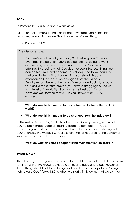## **Look:**

In Romans 12, Paul talks about worldviews.

At the end of Romans 11, Paul describes how great God is. The right response, he says, is to make God the centre of everything.

Read Romans 12:1-2.

#### *The Message* says:

"So here's what I want you to do, God helping you: Take your everyday, ordinary life—your sleeping, eating, going-to-work and walking around life—and place it before God as an offering. Embracing what God does for you is the best thing you can do for Him. Don't become so well adjusted to your culture that you fit into it without even thinking. Instead, fix your attention on God. You'll be changed from the inside out. Readily recognise what He wants from you, and quickly respond to it. Unlike the culture around you, always dragging you down to its level of immaturity, God brings the best out of you, develops well-formed maturity in you" (*Romans 12:1-2, The Message).*

- **What do you think it means to be conformed to the patterns of this world?**
- **What do you think it means to be changed from the inside out?**

In the rest of Romans 12, Paul talks about worshipping, serving with what you've been made good at, making space to connect with God, connecting with other people in your church family and even sharing with your enemies. The worldview Paul explains makes no sense to the consumer worldview most people have today.

• **What do you think stops people "fixing their attention on Jesus"?**

#### **What Now?**

The challenge Jesus gives us is to be in the world but not of it. In Luke 12, Jesus reminds us that He knows we need clothes and have bills to pay. However these things should not to be the goal of our life. Life is really about "being rich toward God" (Luke 12:21). When we start with knowing that we exist for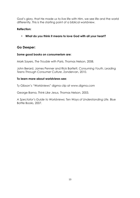God's glory, that He made us to live life with Him, we see life and the world differently. This is the starting point of a biblical worldview.

#### **Reflection:**

• **What do you think it means to love God with all your heart?**

## **Go Deeper:**

#### **Some good books on consumerism are:**

Mark Sayers, *The Trouble with Paris*, Thomas Nelson, 2008.

John Berard, James Penner and Rick Bartlett, *Consuming Youth, Leading Teens Through Consumer Culture*, Zondervan, 2010.

#### **To learn more about worldviews see:**

Ty Gibson's "Worldviews" digma clip at www.digma.com

George Barna, *Think Like Jesus,* Thomas Nelson, 2003.

*A Spectator's Guide to Worldviews: Ten Ways of Understanding Life.* Blue Bottle Books, 2007.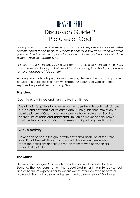## Heaven Sent Discussion Guide 2 "Pictures of God"

*"Living with a mother like mine, you got a fair exposure to various belief systems. She'd made us go to Sunday school for a few years when we were younger. She told us it was good to be open-minded and learn about all the different religions" (page 158).*

*"I knew about Christians . . . I didn't need that kind of Christian 'love' right now. The whole 'I love you but I want to kill you'-thing God had going on was rather unappealing" (page 160).*

Although not a churchgoer, like most people, Heaven already has a picture of God. This guide looks at how we shape our pictures of God and then explores the possibilities of a loving God.

## **Big Idea:**

God is in love with you and wants to live life with you.

The aim of this guide is to have group members think through their picture of God and how that picture came about. The guide then moves on to paint a picture of God's love. Many people have pictures of God that portray Him as harsh and judgmental. This guide moves people from a harsh picture to one of a God who seeks a unique loving relationship.

## **Group Activity:**

Have each person in the group write down their definition of the word love. Put all the definitions in a bowl and choose one person who reads the definitions and tries to match them to who he/she thinks wrote that definition.

## **The Story:**

Heaven does not give God much consideration until she shifts to New Zealand. She had learnt some things about God in her time in Sunday school and as her mum exposed her to various worldviews. However, her overall picture of God is of a distant judge, summed up strangely as "God loves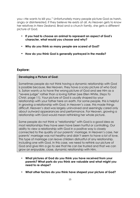you—He wants to kill you." Unfortunately many people picture God as harsh, angry or disinterested, if they believe He exists at all. As Heaven gets to know her relatives in New Zealand, Brad and a church family, she gets a different picture of God.

- **If you had to choose an animal to represent an aspect of God's character, what would you choose and why?**
- **Why do you think so many people are scared of God?**
- **How do you think God is generally portrayed in the media?**

#### **Explore:**

#### **Developing a Picture of God:**

Sometimes people do not think having a dynamic relationship with God is possible because, like Heaven, they have a scary picture of who God is. Satan wants us to have the wrong picture of God and see Him as a "severe judge" rather than a loving father (see Ellen White, *Steps To Christ*, page 11). Your picture of God is usually shaped by your relationship with your father here on earth. For some people, this is helpful in growing a relationship with God. In Heaven's case, this made things difficult. Heaven's dad was largely uninvolved and seemingly cared only about outward appearances and performance. For Heaven, growing a relationship with God would mean rethinking her whole picture.

Some people do not think a "relationship" with God is a good idea as most relationships they have seen have been hurtful or controlling. Our ability to view a relationship with God in a positive way is closely connected to the quality of our parents' marriage. In Heaven's case, her parents' marriage was not healthy and didn't seem to have a lot of love. This type of marriage can leave children distrustful of any relationship, including one with God. In this case, we need to rethink our picture of God and give Him a go to see that He can be trusted and that we can grow an enjoyable, close, dynamic relationship with Him.

- **What pictures of God do you think you have received from your parents? What parts do you think are valuable and what might you need to re-shape?**
- **What other factors do you think have shaped your picture of God?**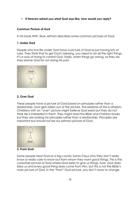• **If Heaven asked you what God was like, how would you reply?**

#### **Common Picture of God**

In his book *With*, Skye Jethani describes some common pictures of God:

#### **1. Under God**

People who live life under God have a picture of God as just having lots of rules. They think that to get God's blessing, you need to do all the right things. It's a way of trying to control God. Sadly, when things go wrong, as they do, they blame God for not doing His part.



#### **2. Over God**

These people have a picture of God based on principles rather than a relationship. God gets taken out of the picture. The extreme of this is atheism. Christians with an "over" picture might believe God exists but they do not think He is interested in them. They might read the Bible and Christian books but they are looking for principles rather than a relationship. Principles are important but should not be our primary picture of God.



#### **3. From God**

Some people treat God as a big cosmic Santa Claus who they don't really know or really care to know but from whom they want good things. This is the consumer picture of God where God exists to give us things. Sure, God does bless us and every good thing does come from Him, but this is not the Bible's main picture of God. In the "from" God picture, you don't have to change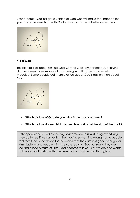your dreams—you just get a version of God who will make that happen for you. This picture ends up with God existing to make us better consumers.



#### **4. For God**

This picture is all about serving God. Serving God is important but, if serving Him becomes more important than being with Him, the picture gets muddled. Some people get more excited about God's mission than about God.



- **Which picture of God do you think is the most common?**
- **Which picture do you think Heaven has of God at the start of the book?**

Other people see God as the big policeman who is watching everything they do to see if He can catch them doing something wrong. Some people feel that God is too "holy" for them and that they are not good enough for Him. Sadly, many people think they are leaving God but really they are leaving a bad picture of Him. God chooses to love us as we are and wants to have a relationship with us where He can work in and through us.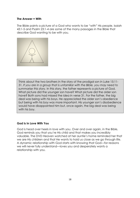#### **The Answer = With**

The Bible paints a picture of a God who wants to be "with" His people. Isaiah 43:1-5 and Psalm 23:1-4 are some of the many passages in the Bible that describe God wanting to be with you.



Think about the two brothers in the story of the prodigal son in Luke 15:11- 31. *If you are in a group that is unfamiliar with the Bible, you may need to summarise this story.* In this story, the father represents a picture of God. What picture did the younger son have? What picture did the older son have? Both sons had missed the idea in verse 31. For the father, the big deal was being with his boys. He appreciated the older son's obedience but being with his boy was more important. His younger son's disobedience would have disappointed him but, once again, the big deal was being with his boy.

#### **God Is In Love With You**

God is head over heels in love with you. Over and over again, in the Bible, God reminds you that you're His child and that makes you incredibly valuable. The DVD Heaven watched at her auntie's home reminded her that we are His children and that He wants to hold us close as we go through life. A dynamic relationship with God starts with knowing that God—for reasons we will never fully understand—loves you and desperately wants a relationship with you.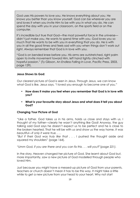God uses His powers to love you. He knows everything about you. He knows you better than you know yourself. God can be wherever you are and loves it when you invite Him to be with you in what you do. He can spend the day with you in your classroom, on the sports field or on the computer.

It's incredible but true that God—the most powerful force in the universe didn't just make you, He wants to spend time with you. God loves you so much that He wants to be with you in everything that you do. He is with you in all the good times and feels sad with you when things don't work out right. Always remember that God is in love with you.

"God is on bended knee before you. His arms are outstretched, right palm open to invite movement toward Him, left hand tightly clinched with hopeful passion." (Ty Gibson, *An Endless Falling In Love*, Pacific Press, 2003, page 129).

#### **Jesus Shows Us God:**

Our clearest picture of God is seen in Jesus. Through Jesus, we can know what God is like. Jesus says, "I loved you enough to become one of you."

- **How does it make you feel when you remember that God is in love with you?**
- **What is your favourite story about Jesus and what does it tell you about God?**

#### **Changing Your Picture of God**

"Like a father, God takes us in his arms, holds us close and stays with us. I thought of my father—clearly he wasn't anything like God! Anyway, the guy talking said God says he doesn't expect us to be perfect and he is close to the broken hearted. That he will be with us and show us the way home. *It was beautiful—if only it were true. . . .*

*"But if their God was truly like that . . .* I pushed the thought aside and squared my shoulders" (page 164).

*"Umm God, if you are there and you can fix this . . . will you?"(page 221).*

In the story, Heaven changed her picture of God. She learnt about God but, more importantly, saw a new picture of God modelled through people who loved Him.

Just because you might have a messed-up picture of God from your parents, teachers or church doesn't mean it has to be this way. It might take a little while to get a new picture from your head to your heart. Why not start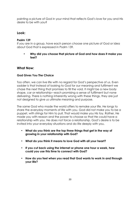painting a picture of God in your mind that reflects God's love for you and His desire to be with you?

## **Look:**

#### **Psalm 139**

If you are in a group, have each person choose one picture of God or idea about God that is expressed in Psalm 139.

• **Why did you choose that picture of God and how does it make you feel?**

## **What Now:**

#### **God Gives You The Choice**

Too often, we can live life with no regard for God's perspective of us. Even sadder is that instead of looking to God for our meaning and fulfilment we chase the next thing that promises to fill the void. It might be a new body shape, car or relationship—each promising a sense of fulfilment but none delivering. There is nothing inherently wrong with these things, they are just not designed to give us ultimate meaning and purpose.

The same God who made the world offers to remake your life. He longs to share the everyday moments of life with you. God did not make you to be a puppet, with strings for Him to pull. That would make you His toy. Rather, He made you with reason and the power to choose so that He could have a relationship with you. He does not force a relationship. God's desire is to be invited into your everyday situations and do life deeply with you.

- **What do you think are the top three things that get in the way of growing in your relationship with God?**
- **What do you think it means to love God with all your heart?**
- **If you cut back using the internet or phone one hour a week, how could you use this time to connect with God?**
- **How do you feel when you read that God wants to work in and through your life?**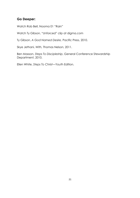## **Go Deeper:**

Watch Rob Bell, Nooma 01 "Rain"

Watch Ty Gibson, "Unforced" clip at digma.com

Ty Gibson, *A God Named Desire,* Pacific Press, 2010.

Skye Jethani, *With,* Thomas Nelson, 2011.

Ben Maxson, *Steps To Discipleship*, General Conference Stewardship Department, 2010.

Ellen White, *Steps To Christ*—Youth Edition.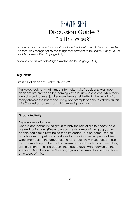## Heaven Sent Discussion Guide 3 "Is This Wise?"

*"I glanced at my watch and sat back on the toilet to wait. Two minutes felt*  like forever. I thought of all the things that had led to this point. If only I'd just *avoided one of them" (page 112).*

*"How could I have sabotaged my life like this?" (page 114).*

## **Big Idea:**

Life is full of decisions—ask "Is this wise?"

This guide looks at what it means to make "wise" decisions. Most poor decisions are preceded by seemingly smaller unwise choices. While there is no choice that ever justifies rape, Heaven still rethinks the "what ifs" of many choices she has made. This guide prompts people to ask the "Is this wise?" question rather than is this simply right or wrong.

## **Group Activity:**

The wisdom radio show:

Choose one person in the group to play the role of a "life coach" on a pretend radio show. (Depending on the dynamics of the group, other people could take turns being the "life coach" but be careful that this activity does not get uncomfortable for more introverted personalities.) Other members in the group take turns to "call" in with scenarios. These may be made up on the spot or pre-written and handed out (keep things a little bit light). The "life coach" then has to give "wise" advice on the scenarios. Members in the "listening" group are asked to rate the advice on a scale of 1-10.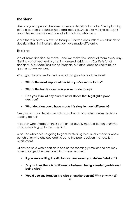## **The Story:**

Like any young person, Heaven has many decisions to make. She is planning to be a doctor; she studies hard and keeps fit. She is also making decisions about her relationship with Jarrod, alcohol and who she is.

While there is never an excuse for rape, Heaven does reflect on a bunch of decisions that, in hindsight, she may have made differently.

## **Explore:**

We all have decisions to make—and we make thousands of them every day. Getting out of bed, eating, getting dressed, driving . . . Our life is full of decisions. Most decisions are no-brainers, but other decisions have much greater consequences.

What grid do you use to decide what is a good or bad decision?

- **What's the most important decision you've made today?**
- **What's the hardest decision you've made today?**
- **Can you think of any current news stories that highlight a poor decision?**
- **What decision could have made this story turn out differently?**

Every major poor decision usually has a bunch of smaller unwise decisions leading up to it.

A person who cheats on their partner has usually made a bunch of unwise choices leading up to the cheating.

A person who ends up going to gaol for stealing has usually made a whole bunch of unwise choices leading up to the poor decision that results in punishment.

At any point, a wise decision in one of the seemingly smaller choices may have changed the direction things were headed.

- **If you were writing the dictionary, how would you define "wisdom"?**
- **Do you think there is a difference between being knowledgeable and being wise?**
- **Would you say Heaven is a wise or unwise person? Why or why not?**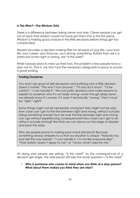#### **Is This Wise?—The Wisdom Grid**

There is a difference between being clever and wise. Clever people can get out of spots that wisdom would not have got them into in the first place. Wisdom is making good choices in the little decisions before things get too complicated.

Wisdom provides a decision-making filter for all areas of your life—your love life, your career, your finances, your driving, everything. Rather than ask is a particular action right or wrong, ask "Is this wise?"

While nobody plans to mess up their lives, the problem is few people have a plan not to. That is, we don't put the necessary safeguards in place to ensure a good ending.

#### **Fooling Ourselves**

You and I are good at self-deception and justifying why a little decision doesn't matter: "This won't hurt anyone"; "I'll only do it once"; "I'll be careful"; "I can handle it." We can justify decisions and make reasons to explain to ourselves why it's not really wrong—even though deep down we already know it's unwise. If it wasn't technically "wrong," then it must be "right," right?

Some things might not be necessarily wrong but they might not be wise. How close can I get to the line between right and wrong, without actually doing something wrong? How far over the line between right and wrong can I go without experiencing consequences? How close can I get to sin without actually sinning? We think we can dance on the edge of disaster and beat the odds.

Why are people prone to making poor moral decisions? Because something always whispers to us that our situation is unique: "Nobody has ever felt this way before"; "I can handle it, I'm not like everyone else"; "That statistic doesn't apply to me"; or "I know what's best for me."

All along wise people are asking, "Is this wise?" As the consequences of a decision get larger, the wise person still asks the same question—"Is this wise?"

• **Who is someone who comes to mind when you think of a wise person? What about them makes you think they are wise?**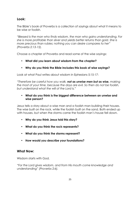## **Look:**

The Bible's book of Proverbs is a collection of sayings about what it means to be wise or foolish.

*"Blessed is the man who finds wisdom, the man who gains understanding. For she is more profitable than silver and yields better returns than gold. She is more precious than rubies; nothing you can desire compares to her" (Proverbs 2:13-15).*

Choose a chapter of Proverbs and read some of the wise sayings:

- **What did you learn about wisdom from the chapter?**
- **Why do you think the Bible includes this book of wise sayings?**

Look at what Paul writes about wisdom in Ephesians 5:15-17:

"*Therefore be careful how you walk, not as unwise men but as wise, making the most of your time, because the days are evil. So then do not be foolish, but understand what the will of the Lord is."*

#### • **What do you think is the biggest difference between an unwise and wise person?**

Jesus tells a story about a wise man and a foolish man building their houses. The wise built on the rock, while the foolish built on the sand. Both ended up with houses, but when the storms came the foolish man's house fell down.

- **Why do you think Jesus told this story?**
- **What do you think the rock represents?**
- **What do you think the storms represent?**
- **How would you describe your foundations?**

## **What Now:**

Wisdom starts with God.

*"For the Lord gives wisdom, and from His mouth come knowledge and understanding" (Proverbs 2:6).*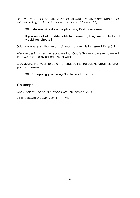*"If any of you lacks wisdom, he should ask God, who gives generously to all without finding fault and it will be given to him" (James 1:5).*

- **What do you think stops people asking God for wisdom?**
- **If you were all of a sudden able to choose anything you wanted what would you choose?**

Solomon was given that very choice and chose wisdom (see 1 Kings 3:5).

Wisdom begins when we recognise that God is God—and we're not—and then we respond by asking Him for wisdom.

God desires that your life be a masterpiece that reflects His greatness and your uniqueness.

• **What's stopping you asking God for wisdom now?**

## **Go Deeper:**

Andy Stanley, *The Best Question Ever,* Multnomah, 2004.

Bill Hybels, *Making Life Work*, IVP, 1998.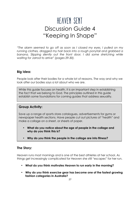## Heaven Sent Discussion Guide 4 "Keeping In Shape"

*"The alarm seemed to go off as soon as I closed my eyes. I pulled on my running clothes, dragged my hair back into a rough ponytail and grabbed a banana. Slipping silently out the front door, I did some stretching while waiting for Jarrod to arrive" (pages 29-30).*

## **Big Idea:**

People look after their bodies for a whole lot of reasons. The way and why we look after our bodies says a lot about who we are.

While this guide focuses on health, it is an important step in establishing the fact that we belong to God. The principles outlined in this guide establish some foundations for coming guides that address sexuality.

## **Group Activity:**

Save up a range of sports store catalogues, advertisements for gyms or newspaper health sections. Have people cut out pictures of "health" and make a collage on a sheet, or sheets of paper.

- **What do you notice about the age of people in the collage and why do you think this is?**
- **Why do you think the people in the collage are into fitness?**

## **The Story:**

Heaven runs most mornings and is one of the best athletes at her school. As things get increasingly complicated for Heaven she still "escapes" for her run.

- **What do you think motivates Heaven to run early in the morning?**
- **Why do you think exercise gear has become one of the fastest growing fashion categories in Australia?**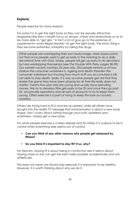## **Explore:**

People exercise for many reasons.

For some it is to get the right body so they can be sexually attractive. Magazines like *Men's Health* focus on biceps, chests and abdominals so as to be more able to "get girls." In fact a lot of guys go to the extremes of supplements—even illegal steroids—to get the right body. The ironic thing is they become extremely unhealthy by taking the drugs.

Other people are worshipping their own body image. Mark Sayers points out that once people used to get up early in the morning to do a daily devotional time with God. Today, people still get up early to do devotions but are worshipping themselves (see *The Trouble With Paris,* pages 38-39). Our western society worships 25 year olds. Old people remind us of how shallow the consumer worldview is. Ageing and death threaten the consumer worldview but showing how much stuff you accumulate is still not able to stop death. Sadly, it is only as some people get old that they realise the game they have been playing for all their life really does not matter. Twenty-five year olds are young and usually have spending money. We try to develop little girls early to be 25 and once they go past 25, we provide operations and all sorts of products to try to keep them young. Often exercise is a part of trying to keep the look our society worships.

Others are trying hard to fit in and be accepted, while still others have bought into the reality TV message that transformation is about a new body shape. Don't worry about sorting through your hurts, problems and worldview—simply get a new body.

For some people exercise is a stress release and for others it is a place to be in control when everything else seems out of control.

- **Can you think of any other reasons why people get obsessed by fitness?**
- **Do you think it's important to stay fit? If so, why?**

For Heaven, staying fit is about being in control but also it seems about staying sharp so she can get the best marks possible academically and win athletically.

This does not mean we should stop exercise! It is important to be healthy. However, it is worth thinking about why we do it.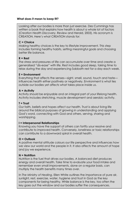#### **What does it mean to keep fit?**

Looking after our bodies is more than just exercise. Des Cummings has written a book that explains how health is about a whole lot of factors (*Creation Health Discovery*, Review and Herald, 2003). His acronym is CREATION. Here's what CREATION stands for:

#### **C = Choice**

Making healthy choices is the key to lifestyle improvement. This step includes forming healthy habits, setting meaningful goals and choosing better life balance.

#### $R = Rest$

The stress and pressures of life can accumulate over time and create a generalised "dis-ease" with life. Rest includes good sleep, taking time to relax during the day and experiencing Sabbath rest for a day each week.

#### **E = Environment**

Everything that affects the senses—sight, smell, sound, touch and taste influences health either positively or negatively. Environment is what lies outside our bodies yet affects what takes place inside us.

#### **A = Activity**

Activity should be enjoyable and an integral part of your lifelong health. Activity includes stretching, muscle development and aerobic activity.

#### $T = Trust$

Our faith, beliefs and hopes affect our health. Trust is about living life around the biblical purposes of growing in understanding and applying God's word, connecting with God and others, serving, sharing and worshipping.

#### **I = Interpersonal Relationships**

Knowing you have the support of others can fortify your resolve and contribute to improved health. Conversely, loneliness or toxic relationships can contribute to a downward spiral in overall health.

#### **O = Outlook**

A positive mental attitude colours our life perspective and influences how we view our world and the people in it. It also affects the amount of hope and joy we experience.

#### **N = Nutrition**

Nutrition is the fuel that drives our bodies. A balanced diet produces energy and overall health. Take time to evaluate your food intake and remember even small improvements, done on a regular basis, can multiply the health benefits many times over.

29 sunlight, rest, exercise, water, hygiene and trust in God as the key In *The Ministry of Healing*, Ellen White outlines the importance of pure air, components for being healthy. While balance is the key, too often the key goes out the window and our bodies suffer the consequences.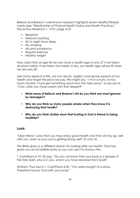Bellock and Breslow's well-known research highlights seven healthy lifestyle habits (see *"*Relationship of Physical Health Status and Health Practices,*" Preventive Medicine* 1, 1972, page 419):

- Breakfast
- Minimal snacking
- Six to eight hours sleep
- No smoking
- Alcohol avoidance
- Reqular exercise
- Healthy weight

They claim that at age 40 we can have a health age of only 27 if we follow all seven habits. If we follow two habits or less, our health age will be 59 when we are only 40.

Like many aspects of life, we can abuse, neglect and ignore aspects of our health and forget the price we pay. We might say, "I'm in a hurry, its too much trouble, I'll just get something quick from the take-away" or say yes to "Can I offer you more cream with that dessert?"

- **What areas of Bellock and Breslow's list do you think are most ignored by teenagers?**
- **Why do you think so many people smoke when they know it is destroying their health?**
- **Why do you think studies show that trusting in God is linked to being healthier?**

## **Look:**

"Dear friend, I pray that you may enjoy good health and that all may go well with you, even as your soul is getting along well" (3 John 2).

The Bible gives us a different reason for looking after our health. God has given you an incredible body so you can use it to honour Him.

1 Corinthians 6:19, 20 says, "Do you not know that your body is a temple of the Holy Spirit, who is in you, whom you have received from God?'

Similarly, Paul says in 1 Corinthians 6:20, "You were bought at a price. Therefore honour God with your body."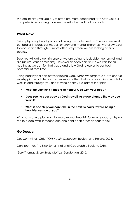We are infinitely valuable, yet often are more concerned with how well our computer is performing than we are with the health of our body.

## **What Now:**

Being physically healthy is part of being spiritually healthy. The way we treat our bodies impacts our moods, energy and mental sharpness. We allow God to work in and through us more effectively when we are looking after our bodies.

Sure you will get older, sin ensures we are going to look older, get unwell and die (unless Jesus comes first). However at each point in life we can be as healthy as we can for that stage and allow God to use us to our best potential at that time.

Being healthy is a part of worshipping God. When we forget God, we end up worshipping what He has created—and often that is ourselves. God wants to work in and through you and staying healthy is a part of that plan.

- **What do you think it means to honour God with your body?**
- **Does seeing your body as God's dwelling place change the way you treat it?**
- **What is one step you can take in the next 24 hours toward being a healthier version of you?**

Why not make a plan now to improve your health? For extra support, why not make a deal with someone else and hold each other accountable?

## **Go Deeper:**

Des Cummings, *CREATION Health Discovery*, Review and Herald, 2003.

Dan Buettner, *The Blue Zones*, National Geographic Society, 2010.

Gary Thomas, *Every Body Matters*, Zondervan, 2012.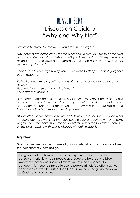## Heaven Sent Discussion Guide 5 "Why and Why Not"

*Jarrod to Heaven: "And now . . . you are mine!" (page 7).*

*"My parents are going away for the weekend. Would you like to come over and spend the night?". . . "What, don't you love me?" . . . "Everyone else is doing it!" . . . "The guys are laughing at me 'cause I'm the only one not getting any" (page 7).*

*Kelly: "Now tell me again why you don't want to sleep with that gorgeous boy?" (page 10).*

*Kelly: "Besides, I'm sure you'll have lots of guys before you decide to settle down." Heaven: "I'm not sure I want lots of guys. " Kelly: "What?" (page 11).*

*"I remember nothing of it—nothing! My first time will forever be lost in a haze of alcoholic stupor taken by a boy who just couldn't wait . . . wouldn't wait. Didn't care enough about me to wait. Too busy thinking about himself and the opinion of his teammates to wait" (page 85).*

*"It was clear to me now. He never really loved me at all. He just loved what he could get from me. I felt the tears bubble over and run down my cheeks. Angrily, I tore the locket from my neck and threw it in the top draw. Then I fell on my bed, sobbing with empty disappointment" (page 86).*

## **Big Idea:**

God created sex for a reason—sadly, our society sells a cheap version of sex that falls short of God's design.

This guide looks at how worldviews are expressed through sex. The consumer worldview treats people as products to be used. A biblical worldview sees sex as a spiritual expression of God's oneness. This concept might sound strange to young people at first. Too often sex has been seen as "worldly" rather than God's invention. The guide then looks at God's purpose for sex.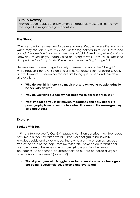### **Group Activity:**

Provide recent copies of girls/women's magazines. Make a list of the key messages the magazines give about sex.

## **The Story:**

*"The pressure for sex seemed to be everywhere. People were either having it when they shouldn't—like my Dad—or feeling entitled to it—like Gavin and Jarrod. The question I had to answer was,* Would I? And if so, when? *I didn't know how much longer Jarrod would be willing to wait. How would I feel if he dumped me for Cathy Davis? It was clear she was willing" (page 57).*

Heaven lives in a sex-charged society. It seems odd not to be "doing it." While Heaven is not a Christian, she still has her reasons for not being sexually active. However, it seems her reasons are being questioned and torn down at every turn.

- **Why do you think there is so much pressure on young people today to be sexually active?**
- **Why do you think our society has become so obsessed with sex?**
- **What impact do you think movies, magazines and easy access to pornography have on our society when it comes to the messages they give about sex?**

## **Explore:**

#### **Soaked With Sex**

In *What's Happening To Our Girls,* Maggie Hamilton describes how teenagers now live in a "sex-saturated world." "Peers expect girls to be sexually knowledgeable and experienced. Those who aren't are seen as 'uncool,' 'repressed,' out of the loop. From my research, I have no doubt that peer pressure is one of the reasons why more girls are pushing the sexual boundaries. As one school counsellor pointed out: 'To be called a virgin is now a disparaging term'" (page 138).

• **Would you agree with Maggie Hamilton when she says our teenagers are being "overstimulated, oversold and oversexed"?**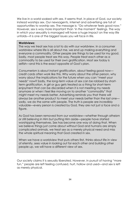We live in a world soaked with sex. It seems that, in place of God, our society instead worships sex. Our newsagents, internet and advertising are full of opportunities to worship sex. The message is: "Do whatever feels good now." However, sex is way more important than 'in the moment' feelings. The way in which your sexuality is managed will have a huge impact on the way life unfolds—it is one of the biggest issues you will face in life.

#### **Worldviews:**

The way we treat sex has a lot to do with our worldview. In a consumer worldview where life is all about me, we end up making everything and everyone a commodity. Other people are things to be used for my good. Sadly, most people treat sex this way. People treat each other as a commodity to be used for their own gratification. Most sex today is selfish—and this is the exact opposite of God's plan.

Consumerism is about instant gratification, about feeling good now credit cards often work like this. Why worry about the other person, why worry about the implications for the future when you can "meet your needs" now? Sadly, the long-term value of sex can be robbed by shortterm gratification. A girl or guy gets treated as a thing for short-term enjoyment that can be discarded when it is not meeting my needs anymore or when I feel like moving on to another "commodity" that might meet my needs better. Advertising reminds you that there will always be another product to meet your needs better than the last one sadly, we do the same with people. The truth is people are incredibly valuable—every person is created by God, they are not just a face and a figure.

As God has been removed from our worldview—whether through atheism or still believing in Him but putting Him aside—people have started worshipping themselves. Sex has become one way of doing that. When we believe things just come about without God and humans are simply complicated animals, we treat sex as a merely physical need and miss the whole spiritual meaning that God created in sex.

When we have a worldview that puts others first, thinks about life in view of eternity, sees value in looking out for each other and building other people up, we will have a different view of sex.

Our society claims it is sexually liberated. However, in pursuit of having "more fun," people are left feeling confused, hurt, hollow and used—and sex is left as merely physical.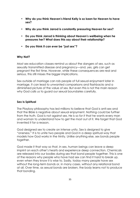- **Why do you think Heaven's friend Kelly is so keen for Heaven to have sex?**
- **Why do you think Jarrod is constantly pressuring Heaven for sex?**
- **Do you think Jarrod is thinking about Heaven's wellbeing when he pressures her? What does this say about their relationship?**
- **Do you think it can ever be "just sex"?**

#### **Why Not?**

Most sex education classes remind us about the dangers of sex, such as sexually transmitted disease and pregnancy—and, yes, girls can get pregnant the first time. However, while these consequences are real and serious, this still misses the bigger implications.

Sex outside of marriage can rob people of full sexual enjoyment later in marriage. It can lead to unwanted comparisons and flashbacks and a diminished picture of the value of sex. But even this is not the main reason why God calls us to guard our sexual boundaries carefully.

#### **Sex Is Spiritual**

The Playboy philosophy has led millions to believe that God is anti-sex and that the Bible is negative about sexual enjoyment. Nothing could be further from the truth. God is not against sex, He is so *for it* that he wants every man and woman to understand how to get the most out of it. We forget that God invented it for a reason.

God designed sex to create an intense unity. Sex is designed to give "oneness." It is to unite two people and God in a deep spiritual way that models how God works in the trinity. Unlike anything else, sex bonds people together.

God made it that way so that, in sex, human beings can leave a deep imprint on each other's hearts and experience deep connection. Chemicals are released into our bodies during sex that bond people together. This is one of the reasons why people who have had sex can find it hard to break up, even when they know it is wise to. Sadly, today many people have sex without the long-term bonds or, in many cases, without any relational bond at all. Over time, as sexual bonds are broken, the body learns not to produce that bonding.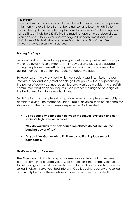#### **Illustration:**

Like most ways our body works, this is different for everyone. Some people might only have a little bit of "unbonding" sex and lose their ability to bond deeply. Other people may be able to have more "unbonding" sex and still seemingly be OK. It's like the masking tape on a cardboard box. You can peel it back over and over again but each time it sticks less. (see J McIlhaney & Bush McKissic, *Hooked—New Science on How Casual Sex is Affecting Our Children,* Northfield, 2008).

#### **Missing The Steps**

Sex can mask what is really happening in a relationship. When relationships move too quickly to sex, important intimacy-building blocks are skipped. Young people are often left dealing with complicated issues due to them acting married in a context that does not equal marriage.

To keep sex as merely physical, which our society says it is, misses the real intensity of sex and sadly most people go through life without experiencing the power of deeply connected spiritual sex. Marriage provides the unselfish commitment that deep sex requires. God intends marriage to be a sign of the kind of relationship He wants with us.

Sex is fragile. It's a complete sharing of ourselves, a complete vulnerability, a complete giving—no matter how pleasurable, anything short of this complete sharing is not the maximum sexual experience God created.

- **Do you see any connection between the sexual revolution and our society's high level of divorce?**
- **Why do you think most sex education classes do not include the bonding power of sex?**
- **Do you think God wants to limit fun by putting in place sexual boundaries?**

#### **God's Way Brings Freedom**

The Bible is not full of rules to spoil our sexual adventures but rather aims to protect something of great value. God's intention is not to spoil your fun but to help you grow into all He intends for you to be. His commands concerning sexuality always serve your best interests. God is against adultery and sexual promiscuity because these behaviours are destructive to your life. It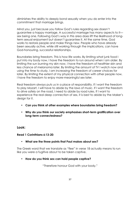diminishes the ability to deeply bond sexually when you do enter into the commitment that marriage brings.

Mind you, just because you follow God's rules regarding sex doesn't guarantee a happy marriage. A successful marriage has many aspects to it sex being one. Following God's way in this area does lift the likelihood of longterm sexual enjoyment but doesn't guarantee it. At the same time, God works to restore people and make things new. People who have already been sexually active, while still working through the implications, can have God-honouring, successful relationships.

Boundaries bring freedom. This is how life works. By limiting what junk food I put into my body now, I have the freedom to run around when I am older. By limiting the sun burning my skin now, I have the freedom of healthier skin and less chance of melanoma later. By limiting the amount of TV I watch now and using the time to study, I am increasing the freedom of career choices for later. By limiting the extent of my physical connection with other people now, I have the freedom to enjoy more-meaningful sex later.

Real freedom always puts us in a place of responsibility. If I want the freedom to play Mozart, I will have to abide by the laws of music. If I want the freedom to drive safely on the road, I need to abide by road rules. If I want to experience the real deep connection of sex, it is best to abide by the Maker's design for it.

- **Can you think of other examples where boundaries bring freedom?**
- **Why do you think our society emphasises short-term gratification over long-term connectedness?**

#### **Look:**

#### **Read 1 Corinthians 6:13-20**:

• **What are the three points that Paul makes about sex?**

The Greek word that we translate as "flee" in verse 18 actually means to run like you were a fugitive about to be taken captive.

• **How do you think sex can hold people captive?**

"Therefore honour God with your body."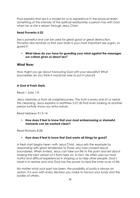Paul explains that sex is a model for us to experience in the physical realm something of the intensity of the spiritual relationship a person has with God when he or she is reborn through Jesus Christ.

#### **Read Proverbs 6:32**:

Sex is powerful and can be used for great good or great destruction. Proverbs also reminds us that your brain is your most important sex organ, so guard it.

• **What ideas do you have for guarding your mind against the messages our culture gives us about sex?**

### **What Now:**

How might you go about honouring God with your sexuality? What boundaries do you think it would be wise to put in place?

#### **A God of Fresh Starts**

Read 1 John 1:9:

Jesus cleanses us from all unrighteousness. The truth is every one of us needs this cleansing. Jesus explains in Matthew 5:27-30 that even looking at another person lustfully shows our sinful nature.

Read Hebrews 9:13-14:

• **How does it feel to know that your most embarrassing or shameful moments can be washed clean?**

Read Romans 8:28:

• **How does if feel to know that God works all things for good?**

A fresh start begins here—with Jesus Christ. Jesus sets the example by responding with great tenderness to those who had crossed sexual boundaries. When invited, Jesus can take our life to this point and set about making the best version of it from here on. In fact, He often uses our most hurtful and difficult experiences in shaping us to help other people. God's heart is to restore and only God has the power to heal the inner scars of life.

No matter what your past has been, the possibility of purity is always an option. It is won with every decision you make to honour your body and the bodies of others.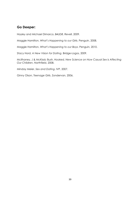# **Go Deeper:**

Hayley and Michael Dimarco, *B4UD8*, Revell, 2009.

Maggie Hamilton, *What's Happening to our Girls*. Penguin, 2008.

Maggie Hamilton, *What's Happening to our Boys*. Penguin, 2010.

Stacy Hord, *A New Vision for Dating*. Bridge-Logos, 2009.

McIlhaney, J & McKissic Bush. *Hooked, New Science on How Casual Sex is Affecting Our Children*, Northfield, 2008.

Minday Meier, *Sex and Dating*. IVP, 2007.

Ginny Olson, *Teenage Girls*. Zondervan, 2006.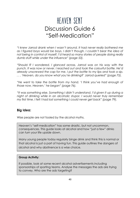# Heaven Sent Discussion Guide 6 "Self-Medication"

*"I knew Jarrod drank when I wasn't around. It had never really bothered me as I figured boys would be boys. I didn't though. I couldn't bear the idea of not being in control of myself. I'd heard so many stories of people doing really dumb stuff while under the influence" (page 53).*

*"*Should I*? I wondered. I glanced across. Jarrod was on his way with the punch. It was now or never. I reached out and took the colourful bottle. He'd already unscrewed the cap for me. I put the bottle to my lips and took a sip. . . . 'Heaven, do you know what you're drinking?' Jarrod queried" (page 75).*

*"He went to take the bottle from my hand. 'I think you've had enough of those now, Heaven,' he began" (page 76).*

*"It was something else. Something I didn't understand. I'd given it up during a night of drinking while in an alcoholic stupor. I would never truly remember my first time. I felt I had lost something I could never get back" (page 79).*

# **Big Idea:**

Wise people are not fooled by the alcohol myths.

Heaven's "self-medication" has some drastic, but not uncommon, consequences. This guide looks at alcohol and how "just a few" drinks can turn your life upside down.

Many young people today regularly binge drink and think this is normal or that alcohol is just a part of having fun. This guide outlines the dangers of alcohol and why abstinence is a wise choice.

#### **Group Activity:**

If possible, look at some recent alcohol advertisements including sponsorships of sporting teams. Analyse the messages the ads are trying to convey. Who are the ads targeting?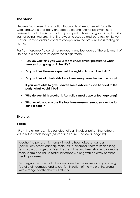# **The Story:**

Heaven finds herself in a situation thousands of teenagers will face this weekend. She is at a party and offered alcohol. Advertisers want us to believe that alcohol is fun, that it's just a part of having a good time, that it's part of being "mature," that it allows us to escape and just a few drinks won't matter. Heaven drinks alcohol to escape from the pressure she is feeling at home.

Far from "escape," alcohol has robbed many teenagers of the enjoyment of life and in place of "fun" delivered a nightmare.

- **How do you think you would react under similar pressure to what Heaven had going on in her life?**
- **Do you think Heaven expected the night to turn out like it did?**
- **Do you think alcohol adds to or takes away from the fun at a party?**
- **If you were able to give Heaven some advice as she headed to the party, what would it be?**
- **Why do you think alcohol is Australia's most popular teenage drug?**
- **What would you say are the top three reasons teenagers decide to drink alcohol?**

# **Explore:**

#### **Poison:**

"From the evidence, it is clear alcohol is an insidious poison that affects virtually the whole body" (Ashton and Laura, *Uncorked*, page 19).

Alcohol is a poison. It is strongly linked to heart disease, cancer (particularly breast cancer), male sexual disorders, short-term and longterm brain damage and liver disease. It has also been shown to damage male sperm and cause testicular atrophy, along with an array of other health problems.

For pregnant women, alcohol can harm the foetus irreparably, causing foetal brain damage and sexual feminisation of the male child, along with a range of other harmful effects.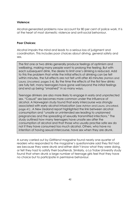#### **Violence:**

Alcohol-generated problems now account for 80 per cent of police work. It is at the heart of most domestic violence and anti-social behaviour.

#### **Poor Choices:**

Alcohol impairs the mind and leads to a serious loss of judgment and coordination. This includes poor choices about driving, general safety and sex.

The first one or two drinks generally produce feelings of optimism and wellbeing, making many people want to prolong the feeling. But with each subsequent drink, the desire to limit one's drinking is reduced. Add to this the problem that while the initial effects of drinking can be felt within minutes, the full effects are not felt until after 45 minutes (Ashton and Laura, *Uncorked*, pages 3-4). By the time the effects of the first few drinks are fully felt, many teenagers have gone well beyond the initial feelings and end up being "smashed" in so many ways.

Teenage drinkers are also more likely to engage in early and unprotected sex. "Casual" sex becomes more common under the influence of alcohol. A Norwegian study found that early intercourse was strongly associated with early alcohol intoxication (see Ashton and Laura, *Uncorked*, page 41) . A New Zealand report highlighted the link between alcohol consumption and "unsafe or unintended sex leading to unplanned pregnancies and the spreading of sexually transmitted infections." The study outlined how many teenagers have unsafe sex after the consumption of alcohol and that those who usually practise safe sex do not if they have consumed too much alcohol. Others, who have no intention of having sexual intercourse, have sex when they are drunk.

A survey carried out by *Girlfriend* magazine found nearly one-quarter of readers who responded to the magazine's questionnaire said they first had sex because they were drunk and either didn't know what they were doing, or felt they had to satisfy their boyfriends. Similarly, a La Trobe University study found that when drunk a large number of teenage girls feel that they have no choice but to participate in permissive behaviour.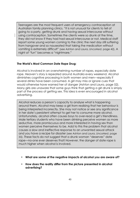Teenagers are the most frequent users of emergency contraception at Australian family planning clinics. "It is not unusual for clients to tell of going to a party, getting drunk and having sexual intercourse without using contraception. Sometimes the clients were so drunk at the time, they did not know if they had had sexual intercourse or not. Medical staff report some young women coming to the clinic the next day still suffering from hangover and so nauseated that taking the medication without vomiting is extremely difficult" (see Ashton and Laura, *Uncorked*, page 42). A night of "fun" becomes a "nightmare."

#### **The World's Most Common Date Rape Drug:**

Alcohol is involved in an overwhelming number of rapes, especially date rape. Heaven's story is repeated around Australia every weekend. Alcohol diminishes cognitive processing in both women and men—especially if several drinks have been consumed. A girl may miss or ignore cues that would otherwise have warned her of danger (Ashton and Laura, page 52). Many girls are unaware that some guys think that getting a girl drunk is simply part of the process of getting sex. This idea is even encouraged in alcohol advertising.

Alcohol reduces a person's capacity to analyse what is happening around them. Alcohol may keep a girl from realising that her behaviour is being interpreted incorrectly. She may not notice or see any significance in her date's persistent attempt to get her to consume more alcohol. Unfortunately, alcohol often causes boys to over-read a girl's friendliness. Male tertiary students who have been drinking perceive women as more seductive, more promiscuous and more interested in having sex than women perceive themselves to be. Add to this the problem that alcohol causes a slow and ineffective response to an unwanted sexual attack and you have a recipe for disaster (see Ashton and Laura, *Uncorked*, page 55). These facts do not suggest that a drunk woman "deserves" date rape—no-one ever deserves that! However, the danger of date rape is much higher when alcohol is involved.

- **What are some of the negative impacts of alcohol you are aware of?**
- **How does the reality differ from the picture presented in alcohol advertising?**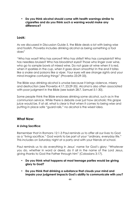• **Do you think alcohol should come with health warnings similar to cigarettes and do you think such a warning would make any difference?**

#### **Look:**

As we discussed in Discussion Guide 5, the Bible deals a lot with being wise and foolish. Proverbs includes drinking alcohol as being something a fool does"

"Who has woe? Who has sorrow? Who has strife? Who has complaints? Who has needless bruises? Who has bloodshot eyes? Those who linger over wine, who go to sample bowls of mixed wine. Do not gaze at wine when it is red, when it sparkles in the cup, when it goes down smoothly! In the end it bites like a snake and poisons like a viper. Your eyes will see strange sights and your mind imagine confusing things" (Proverbs 23:29-33).

The Bible says drinking alcohol is unwise because it brings violence, misery and destruction (see Proverbs 4:17; 23:29-35). Alcohol is also often associated with poor judgment in the Bible (see Isaiah 28:7, Samuel 5:1-30).

Some people think the Bible endorses drinking some alcohol, such as in the communion service. While there is debate over just how alcoholic this grape juice would be, if at all, what is clear is that when it comes to being wise and putting in place safe "guard rails," no alcohol is the wisest idea.

#### **What Now:**

#### **A Living Sacrifice:**

Remember that in Romans 12:1-3 Paul reminds us to offer all our lives to God as a "living sacrifice." God wants to be part of your "ordinary, everyday life." This includes on Saturday night at a party and with your friends at school.

Paul reminds us to do everything in Jesus' name for God's glory: "Whatever you do, whether in word or deed, do it all in the name of the Lord Jesus, giving thanks to God the Father through him" (Colossians 3:17).

- **Do you think what happens at most teenage parties would be giving glory to God?**
- **Do you think that drinking a substance that clouds your mind and impairs your judgment impacts God's ability to communicate with you?**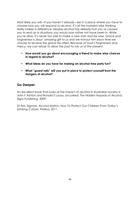Most likely you will—if you haven't already—be in a place where you have to choose how you will respond to alcohol. It's at this moment wise thinking really makes a difference. Maybe alcohol has already hurt you or caused you to end up in situations you would now rather not have been in. While you're alive, it's never too late to make a new start and be wise. Grace and forgiveness is Jesus' amazing gift to us and we honour him each time we choose to receive the grace He offers. Because of God's forgiveness and mercy, we can refuse to allow the past to rob us of the present.

- **How would you go about encouraging a friend to make wise choices in regard to alcohol?**
- **What ideas do you have for making an alcohol-free party fun?**
- **What "guard rails" will you put in place to protect yourself from the dangers of alcohol?**

# **Go Deeper:**

An excellent book that looks at the impact of alcohol in Australian society is: John F Ashton and Ronald S Laura, *Uncorked: The Hidden Hazards of Alcohol*, Signs Publishing, 2009.

Dr Aric Sigman, *Alcohol Nation: How To Protect Our Children From Today's Drinking Culture,* Piatkus, 2011.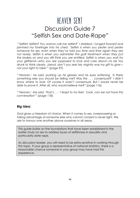# Heaven Sent Discussion Guide 7 "Selfish Sex and Date-Rape"

*"'Selfish! Selfish? You wanna call me selfish?' I shrieked. I lunged forward and jammed my forefinger into his chest. 'Selfish is when you pester and pester someone for sex, even when they've told you time and time again they are not ready. Selfish is when you administer the guilt treatment when they put the brakes on and you still think you are entitled. Selfish is when you wait for your girlfriend—who you are supposed to love and care about—to be too drunk to think clearly. Jarrod, don't you see! My virginity was my gift to give not your right to take!'" (page 97).*

*"'Heaven,' he said, pushing up his glasses and his eyes softening, 'is there something else you should be telling me? Was this . . . consensual?' I didn't know where to look.* Of course it wasn't consensual. But I would never be able to prove it. After all, who would believe me?" *(page 116).*

*"'Heaven,' she said, 'that's . . .' I leapt to my feet. 'Look, can we not have this conversation'" (page 118).*

# **Big Idea:**

God gives us freedom of choice. When it comes to sex, overpowering or taking advantage of someone else who cannot consent is never right. We are to honour one another above ourselves in all areas.

This guide builds on the foundations that have been established in the earlier study on sex to address issues of selfishness in sexuality and particularly date rape.

As discussion leader, you will need to be extra sensitive in working through this topic. If your group is representative of national statistics, there is a reasonable chance someone in your group may have had this experience.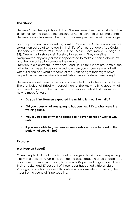# **The Story:**

Heaven "loses' her virginity and doesn't even remember it. What starts out as a night of "fun' to escape the pressure of home turns into a nightmare that Heaven cannot fully remember and has consequences she will never forget.

For many women this story will ring familiar. One in five Australian women are sexually assaulted at some point in their life, often as teenagers (see Craig Henderson, "His Words Will Never Hurt Me," *Marie Claire*, May 2012, pages 78- 82). One in six girls share a similar story to Heaven's. They are either overpowered physically or too incapacitated to make a choice about sex and then assaulted by someone they know.

From fun to a nightmare—how does it end up like this? What are some of the attitudes that need to be addressed to ensure young people are not left without a choice? What are some of the warning signs that might have helped Heaven make wiser choices? What are some steps to recovery?

Heaven intended to enjoy the party; she wanted to take her mind off home. She drank alcohol, flirted with Jarrod then . . . she knew nothing about what happened after that. She is unsure how to respond, what it all means and how to move forward.

- **Do you think Heaven expected the night to turn out like it did?**
- **Did you guess what was going to happen next? If so, what were the warning signs?**
- **Would you classify what happened to Heaven as rape? Why or why not?**
- **If you were able to give Heaven some advice as she headed to the party what would it be?**

# **Explore:**

#### **Was Heaven Raped?**

Often people think that rape is about a stranger attacking an unsuspecting victim in a dark alley. While this can be the case, acquaintance or date rape is far more common. According to research, 84 per cent of girls raped knew their attacker and 57 per cent of those rapes happened while on dates. While guys can also be raped, this outline is predominately addressing the issues from a young girl's perspective.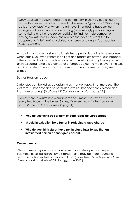*Cosmopolitan* magazine created a controversy in 2007 by publishing an article that termed what happened to Heaven as "grey rape." What they called "grey rape" was when the girl never intended to have sex but emerges out of an alcohol-induced fog (after willingly participating in some kissing or other pre-sexual activity) to find her male companion having sex with her. In shock, she realises she does not want this to happen and "is left feeling violated, confused and angry" (*Cosmopolitan* August 30, 2007).

According to law in most Australian states, a person is unable to give consent when drunk. So, even if there is no fight and regardless of what else happens, if the victim is drunk, a rape has occurred. In Australia, simply having sex with an intoxicated female is grounds for charges against the male, even if he was also intoxicated. The excuse, "I was drunk" cannot be used to justify sex crimes.

So was Heaven raped?

Date rape can be just as devastating as stranger rape, if not more so. "The victim trusts her date and so her trust as well as her body are violated and that's devastating" (McDowell, *It Can Happen to You,* page 12.)

Somewhere in Australia a woman is raped—most times by a "friend" every two hours. In the United States, it's every two minutes (see Fanflik, *Victim Responses to Sexual Assault*, page 1).

- **Why do you think 90 per cent of date rapes go unreported?**
- **Should intoxication be a factor in reducing a rape charge?**
- **Why do you think states have put in place laws to say that an intoxicated person cannot give consent?**

#### **Consequences:**

"Sexual assault by an acquaintance, such as date rape, can be just as traumatic as sexual assault by a stranger, and may be more traumatic because it also involves a breach of trust" (Laura Russo, *Date Rape: A Hidden Crime*, Australian Institute of Criminology, June 2000.)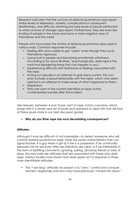Research indicates that the survivors of date/acquaintance rape report similar levels of depression, anxiety, complications in subsequent relationships, and difficulty attaining pre-rape levels of sexual satisfaction to what survivors of stranger rape report. Furthermore, they are even less trusting of people in the future and have a more negative view of themselves and the world.

People who have been the victims of date/acquaintance rape cope in various ways. Common responses include:

- Feeling dirty and unable to get "clean" even though they scrub themselves vigorously.
- Losing trust in people and becoming emotionally withdrawn. According to Dr Joyce Brothers, "psychologically, date rape is the most trust-deadening thing that can happen to you."
- Experiencing difficulty with flashbacks or feelings associated with the rape.
- Acting out sexually in an attempt to gain back control. This can even include a sexual relationship with the rapist, which may seem odd but is an attempt to make sense of what happened to them.
- Depression.
- Thirty per cent of the women identified as rape victims contemplated suicide after the incident.

Like Heaven, between 4 and 10 per cent of rape victims conceive, which brings with it a whole new set of issues and questions to deal with (we will look at these issues more in our next discussion guide).

• **Why do you think rape has such devastating consequences?**

#### **Attitudes:**

Although it may be difficult—if not impossible—to detect someone who will commit date/acquaintance rape, there are some characteristics that can signal trouble. If a guy treats a girl as if she is a possession; if he continually pressures her for sex even after her intentions are clear; or if he intimidates in the form of belittling comments, ignoring, sulking, dictating friends or style of dress: this may indicate attitudes that are associated with those who date rape. Various studies have shown that date rapists act in response to three main identifiable attitudes.

• The "I am king" attitude: his passion is to "own," control and conquer women—especially one who may have previously "turned him down."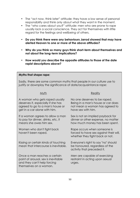- The "act now, think later" attitude: they have a low sense of personal responsibility and think only about what they want in the moment.
- The "who cares about you?" attitude: men who are prone to rape usually lack a social conscience. They act for themselves with little regard for the feelings and wellbeing of others.
- **Do you think there were any behaviours Jarrod showed that may have alerted Heaven to one or more of the above attitudes?**
- **Why do you think so many guys think short-term about themselves and not about the long-term implications?**
- **How would you describe the opposite attitudes to those of the date rapist descriptions above?**

#### **Myths that shape rape:**

Sadly, there are some common myths that people in our culture use to justify or downplay the significance of date/acquaintance rape:

A woman who gets raped usually deserves it, especially if she has agreed to go to a man's house or get in a car alone with him.

If a woman agrees to allow a man to pay for dinner, drinks, etc, it means she owes him sex.

Women who don't fight back haven't been raped.

Kissing or certain kinds of touching mean that intercourse is inevitable.

Once a man reaches a certain point of arousal, sex is inevitable and they can't help forcing themselves on a woman.

#### Myth **Reality**

No one deserves to be raped. Being in a man's house or car does not mean a woman has agreed to have sex with him.

Sex is not an implied payback for dinner or other expense, no matter how much money has been spent.

Rape occurs when someone is forced to have sex against their will, whether they fight back or not.

Everyone's right to say "no" should be honoured, regardless of the activity that preceded it.

Men are capable of exercising restraint in acting upon sexual urges.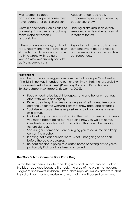Most women lie about acquaintance rape because they have regrets after consensual sex.

Certain behaviours such as drinking or dressing in an overtly sexual way makes rape a woman's responsibility.

If the woman is not a virgin, it is not rape. Nearly one-third of junior high students in an American study saw nothing wrong with raping a woman who was already sexually active (Mcdowell, 21).

Acquaintance rape really happens—to people you know, by people you know.

Drinking or dressing in an overtly sexual way, while not wise, are not invitations for sex.

Regardless of how sexually active someone might be date rape is always wrong, it's a crime and has consequences.

#### **Prevention:**

Listed below are some suggestions from the Sydney Rape Crisis Centre: "The list is in no way intended to put, or even imply that, the responsibility for rape rests with the victims" (Rosemary Barry and David Brennan, *Surviving Rape*, NSW Rape Crisis Centre, 2002).

- People need to be taught to respect one another and treat each other with value and dignity.
- Date rape always involves some degree of selfishness. Keep your antenna up for the warning signs that show date rape attitudes.
- Socialise in groups whenever possible and always leave an event as a group.
- Look out for your friends and remind them of any pre-commitments you made before going out, regarding how you will get home. Creatively remove friends from situations that could be heading toward danger.
- See danger if someone is encouraging you to consume and keep consuming alcohol.
- If dating, set clear boundaries for what is not going to happen before the date progresses.
- Be cautious about going to a date's home or having him to yours, particularly if alcohol has been consumed.

#### **The World's Most Common Date Rape Drug:**

By far, the number-one date rape drug is alcohol! In fact, alcohol is almost the ideal rape drug because it attacks the area of the brain that governs judgment and lowers inhibition. Often, date rape victims say afterwards that they drank too much to realise what was going on, it caused a slow and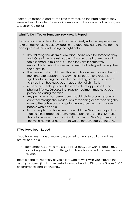ineffective response and by the time they realised the predicament they were in it was too late. (For more information on the dangers of alcohol, see Discussion Guide 6.)

#### **What To Do If You or Someone You Know is Raped**

Those survivors who tend to deal most effectively with their experiences take an active role in acknowledging the rape, disclosing the incident to appropriate others and finding the right help.

- The first thing the victim of any rape should do is tell someone they trust. One of the biggest problems in date rape is often the victim is too ashamed to talk about it, feels they are in some way responsible for what happened or feels that telling will destroy their social group.
- The person told should stress that what happened was not the girl's fault and offer support. The way the first person told reacts is significant in setting the path for the healing process. If a person tells you that they have been raped, do not dismiss it.
- A medical check-up is needed even if there appear to be no physical injuries. Diseases that require treatment may have been passed on during the rape.
- Any person who has been raped should talk to a counsellor who can work through the implications of reporting or not reporting the rape to the police and can put in place a process that involves people who can help.
- Many people who have been raped blame God in some part for "letting" this happen to them. Remember we are in a sinful world that is far from what God originally created. In God's plan—and in the world He makes new—there will be no pain, tears or suffering.

#### **If You Have Been Raped**

If you have been raped, make sure you tell someone you trust and seek professional help.

• Remember God, who makes all things new, can work in and through you taking even the bad things that have happened and use them for His glory.

There is hope for recovery as you allow God to walk with you through the healing process. (It might be useful to jump ahead to Discussion Guides 11-13 on forgiveness and starting new).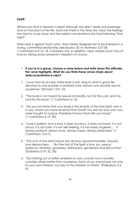# **Look:**

Where was God in Heaven's rape? Although she didn't really acknowledge God at that point of her life, God was there in the tears she cried, the feelings she tried to scrub away and the helpful conversations she had following "that night."

Date rape is against God's plan. God clearly designed sex to be enjoyed in a loving, committed relationship (see Exodus 20:14, Matthew 5:27-28, 1 Corinthians 6:9-10, 18, Colossians 3:5). In addition, rape violates God's law of love by taking away someone's freedom of choice.

- **If you're in a group, choose a verse below and write down the attitudes the verse highlights. What do you think these verses imply about date/acquaintance rape?**
- 1. "Love must be sincere. Hate what is evil; cling to what is good. Be devoted to one another in brotherly love. Honour one another above yourselves" (Romans 12:9, 10).
- 2. "The body is not meant for sexual immorality, but for the Lord, and the Lord for the body" (1 Corinthians 6:13).
- 3. "Do you not know that your body is the temple of the Holy Spirit, who is in you, whom you have received from God? You are not your own; you were bought at a price. Therefore honour God with your body" (1 Corinthians 6:19, 20).
- 4. "Love is patient, love is kind. It does not envy, it does not boast, it is not proud. It is not rude, it is not self-seeking, it is not easily angered . . . It always protects, always trusts, always hopes, always perseveres" (1 Corinthians 13:4-7).
- 5. "The acts of the sinful nature are obvious: sexual immorality, impurity and debauchery . . . But the fruit of the Spirit is love, joy, peace, patience, kindness, goodness, faithfulness, gentleness and self-control" (Galatians 5:19, 22, 23).
- 6. "Do nothing out of selfish ambition or vain conceit, but in humility consider others better than yourselves. Each of you should look not only to your own interests, but also to the interests of others" (Philippians 2:3, 4).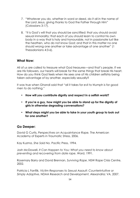- 7. "Whatever you do, whether in word or deed, do it all in the name of the Lord Jesus, giving thanks to God the Father through Him" (Colossians 3:17).
- 8. "It is God's will that you should be sanctified: that you should avoid sexual immorality; that each of you should learn to control his own body in a way that is holy and honourable, not in passionate lust like the heathen, who do not know God; and that in this matter no one should wrong one another or take advantage of one another" (1 Thessalonians 4:3-6).

# **What Now:**

All of us are called to treasure what God treasures—and that's people. If we are His followers, our hearts will break for the same things that break His heart. How do you think God feels when He sees one of His children selfishly being taken advantage of by another, especially sexually?

It was true when Ghandi said that "all it takes for evil to triumph is for good men to do nothing."

- **How will you contribute dignity and respect in a selfish world?**
- **If you're a guy, how might you be able to stand up for the dignity of girls in otherwise degrading conversations?**
- **What steps might you be able to take in your youth group to look out for one another?**

# **Go Deeper:**

David G Curtis, *Perspectives on Acquaintance Rape,* The American Academy of Experts in Traumatic Stress, 2006.

Kay Kuzma, *She Said No.* Pacific Press, 1994.

Josh McDowell, *It Can Happen to You: What you need to know about preventing and recovering from date rape*, Word, 1991.

Rosemary Barry and David Brennan, *Surviving Rape*, NSW Rape Crisis Centre, 2002.

Patricia L Fanflik, *Victim Responses to Sexual Assault: Counterintuitive or Simply Adaptive*, NDAA Research and Development, Alexandria: VA, 2007.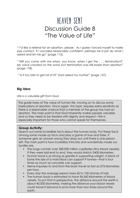# Heaven Sent Discussion Guide 8 "The Value of Life"

"'I'd like a referral for an abortion, please.' As I spoke I forced myself to make eye contact. If I sounded reasonably confident, perhaps he'd just do what I asked and let me go" (page 115).

*"'Will you come with me when, you know, when I get the . . . termination?' My voice cracked on the word, but* termination *was still easier than* abortion*" (page 118).*

*"'Is it too late to get rid of it?' Dad asked my mother" (page 137).*

# **Big Idea:**

Life is a valuable gift from God.

This guide looks at the value of human life, moving on to discuss some implications of abortion. Once again, this topic requires extra sensitivity as there is a reasonable chance that a member of the group has had an abortion. The main point is that God inherently makes people valuable and so they need to be treated with dignity and respect—this is especially important for those who cannot speak for themselves.

# **Group Activity:**

Search out some incredible facts about the human body. Put these facts among some made-up facts and play a game of true and false. If someone gets an answer wrong they drop out until there is one person left. The main point is how incredibly intricate and wonderfully made our bodies are.

- The lungs contain over 300,000 million capillaries (tiny blood vessels). If they were laid end to end, they would stretch 2400 kilometres.
- Human bone is as strong as granite in supporting weight. A block of bone the size of a matchbox can support 9 tonnes—that is four times as much as concrete can support.
- Nerve impulses to and from the brain travel as fast as 273 kilometres per hour.
- Every day the average person loses 60 to 100 strands of hair.
- vessels. To put that in perspective, the distance around the earth is • The human body is estimated to have 96,560 kilometres of blood about 40,000 kilometres, making the distance your blood vessels could travel if laid end to end more than two times around the earth.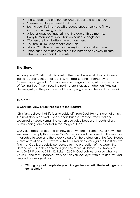- The surface area of a human lung is equal to a tennis court.
- Sneezes regularly exceed 160 km/hr.
- During your lifetime, you will produce enough saliva to fill two Olympic swimming pools.
- A foetus acquires fingerprints at the age of three months.
- Every human spent about half an hour as a single cell.
- Women are born better smellers than men.
- You use 200 muscles to take one step.
- About 32 million bacteria call every inch of your skin home.
- Three hundred million cells die in the human body every minute (the body has 10-50 trillion cells).

# **The Story:**

Although not Christian at this point of the story, Heaven still has an internal battle regarding the sanctity of life. Her dad sees her pregnancy as "something to get rid of." Jarrod sees her pregnancy as just a simple matter of "sorting it out." Kelly sees the next natural step as an abortion. Why can't Heaven just get the job done, put the sorry saga behind her and move on?

# **Explore:**

#### **A Christian View of Life: People are the Treasure**

Christians believe that life is a valuable gift from God. Humans are not simply the next step in an evolutionary chain but are created, treasured and sustained by God. Human life has unique value because, though fallen, human beings are created in the image of God.

Our value does not depend on how good we are at something or how much we own but simply that we are God's creation and the object of His love. Life is valuable to God and therefore He calls for the protection of life (see Exodus 20:13; Revelation 21:8; Proverbs 6:16,17). Over and over again in the Bible, we find that God is especially concerned for the protection of the weak, the defenceless, and the oppressed (see Psalm 82:3,4; James 1:27; Micah 6:8; Acts 20:35; Proverbs 24:11,12; Luke 1:52-54). God calls us to value what He values—and that's people. Every person you lock eyes with is valued by God beyond our imaginations.

• **What groups of people do you think get treated with the least dignity in our society?**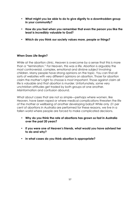- **What might you be able to do to give dignity to a downtrodden group in your community?**
- **How do you feel when you remember that even the person you like the least is incredibly valuable to God?**
- **Which do you think our society values more, people or things?**

#### **When Does Life Begin?**

While at the abortion clinic, Heaven is overcome by a sense that this is more than a "termination." For Heaven, this was a life. Abortion is arguably the most controversial, complex, emotional and divisive subject involving children. Many people have strong opinions on the topic. You can find all sorts of websites with very different opinions on abortion. Those for abortion claim the mother's right to choose is most important. Those against claim all life is valuable and that abortion is murder. Unfortunately, some very unchristian attitudes get traded by both groups at one another. Misinformation and confusion abound.

What about cases that are not so simple—perhaps where women, like Heaven, have been raped or where medical complications threaten the life of the mother or wellbeing of another developing baby? While only .01 per cent of abortions in Australia are performed for these reasons, we live in a fallen world where people are forced to make complicated decisions.

- **Why do you think the rate of abortions has grown so fast in Australia over the past 20 years?**
- **If you were one of Heaven's friends, what would you have advised her to do and why?**
- **In what cases do you think abortion is appropriate?**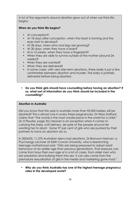A lot of the arguments around abortion grow out of when we think life begins.

#### **When do you think life begins?**

- At conception?
- At 18 days after conception, when the heart is forming and the eyes start to develop?
- At 28 days, when arms and legs are growing?
- At 30 days, when they have a brain?
- At 6-13 weeks, when they have a fingerprint?
- When they are able to survive outside of the mother (around 24 weeks)?
- When they are wanted?
- When they are delivered?
- In some cases, with very late-term abortions, there really is just a few centimetres between abortion and murder. The baby is partially delivered before being aborted.
- **Do you think girls should have counselling before having an abortion? If so, what sort of information do you think should be included in the counselling?**

#### **Abortion in Australia**

 $\overline{\phantom{a}}$ 

Did you know that this year in Australia more than 90,000 babies will be aborted? This is almost one in every three pregnancies. Dr Wess Stafford claims that "the womb is the most unsafe place in the world for a child." (in O'Rourke, page 33.) Heaven is an exception when it comes to carrying the baby until delivery, de spite of the people around her wanting her to abort. Some 97 per cent of girls who are pushed by their partners to have an abortion do so.

In 2004/05, 11,270 Australian teens had abortions. Dr Bronwyn Harman, a Psychology Lecturer at Edith Cowan University, who is researching teenage motherhood said: "Girls are being pressured to adopt adult behaviour at an earlier age than previous generations. That pressure can come from boys their own age or in a lot of cases, from older men who are predators and bullying them into sex. It can also come from the premature sexualisation of girls in the media and marketing gone mad."

#### • **Why do you think Australia has one of the highest teenage pregnancy rates in the developed world?**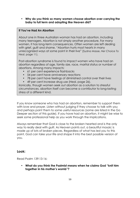• **Why do you think so many women choose abortion over carrying the baby to full term and adopting like Heaven did?**

#### **If You've Had An Abortion**

About one in three Australian woman has had an abortion, including many teenagers. Abortion is not simply another procedure. For many women, it has long-term consequences. Often women are left dealing with grief, guilt and shame. "Abortion hurts most hearts in many unrecognized ways at some point in their live" (Sydna Masse, *Her Choice To Heal*, page 11).

Post-abortion syndrome is found to impact women who have had an abortion regardless of age, family size, race, marital status or number of abortions. Among many impacts:

- 61 per cent experience flashbacks
- 54 per cent have anniversary reactions
- 78 per cent have feelings of diminished control over their lives
- 49 per cent increase drug use (Heal, page 26).

Ironically, though women seek out abortion as a solution to stressful circumstances, abortion itself can become a contributor to long-lasting stress of a different kind.

If you know someone who has had an abortion, remember to support them with love and prayer. Listen without judging if they choose to talk with you and perhaps point them to some useful resources (some are listed in the Go Deeper section of this guide). If you have had an abortion, it might be wise to seek some professional help as you work through the implications.

Always remember that God is close to the broken hearted and is the only way to really deal with guilt. As Heaven points out, a beautiful mosaic is made up of lots of broken pieces. Regardless of what has led you to this point, God can take your life and shape it into the best possible version of you.

#### **Look:**

Read Psalm 139:13-16:

• **What do you think the Psalmist means when he claims God "knit him together in his mother's womb"?**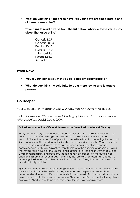- **What do you think it means to have "all your days ordained before one of them came to be"?**
- **Take turns to read a verse from the list below. What do these verses say about the value of life?**

Genesis 1:27 Genesis 30:23 Exodus 20:13 Exodus 21:22 1 Samuel 2:6 Hosea 13:16 Amos 1:13

#### **What Now:**

- **Would your friends say that you care deeply about people?**
- **What do you think it would take to be a more loving and loveable person?**

# **Go Deeper:**

Paul O'Rourke, *Why Satan Hates Our Kids*, Paul O'Rourke Ministries, 2011.

Sydna Masse, *Her Choice To Heal: Finding Spiritual and Emotional Peace After Abortion,* David Cook, 2009.

#### **Guidelines on Abortion (Official statement of the Seventh-day Adventist Church)**

Many contemporary societies have faced conflict over the morality of abortion. Such conflict also has affected large numbers within Christianity who want to accept responsibility for the protection of prenatal human life while also preserving the personal liberty of women. The need for guidelines has become evident, as the Church attempts to follow scripture, and to provide moral guidance while respecting individual conscience. Seventh-day Adventists want to relate to the question of abortion in ways that reveal faith in God as the Creator and Sustainer of all life and in ways that reflect Christian responsibility and freedom. Though honest differences on the question of abortion exist among Seventh-day Adventists, the following represents an attempt to provide guidelines on a number of principles and issues. The guidelines are based on broad biblical principles.

destroyed. Abortion should be performed only for the most serious reasons. 1) Prenatal human life is a magnificent gift of God. God's ideal for human beings affirms the sanctity of human life, in God's image, and requires respect for prenatal life. However, decisions about life must be made in the context of a fallen world. Abortion is never an action of little moral consequence. Thus prenatal life must not be thoughtlessly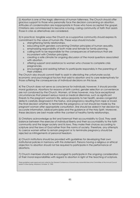2) Abortion is one of the tragic dilemmas of human fallenness. The Church should offer gracious support to those who personally face the decision concerning an abortion. Attitudes of condemnation are inappropriate in those who have accepted the gospel. Christians are commissioned to become a loving, caring community of faith that assists those in crisis as alternatives are considered.

3) In practical, tangible ways the Church as a supportive community should express its commitment to the value of human life. These ways should include:

- a. strengthening family relationships.
- b. educating both genders concerning Christian principles of human sexuality.
- c. emphasising responsibility of both male and female for family planning.
- d. calling both to be responsible for the consequences of behaviours that are inconsistent with Christian principles.
- e. creating a safe climate for ongoing discussion of the moral questions associated with abortion.
- f. offering support and assistance to women who choose to complete crisis pregnancies.
- g. encouraging and assisting fathers to participate responsibly in the parenting of their children.

The Church also should commit itself to assist in alleviating the unfortunate social, economic and psychological factors that add to abortion and to care redemptively for those suffering the consequences of individual decisions on this issue.

4) The Church does not serve as conscience for individuals; however, it should provide moral guidance. Abortions for reasons of birth control, gender selection or convenience are not condoned by the Church. Women, at times however, may face exceptional circumstances that present serious moral or medical dilemmas, such as significant threats to the pregnant woman's life, serious jeopardy to her health, severe congenital defects carefully diagnosed in the foetus, and pregnancy resulting from rape or incest. The final decision whether to terminate the pregnancy or not should be made by the pregnant woman after appropriate consultation. She should be aided in her decision by accurate information, biblical principles and the guidance of the Holy Spirit. Moreover, these decisions are best made within the context of healthy family relationships.

5) Christians acknowledge as first and foremost their accountability to God. They seek balance between the exercise of individual liberty and their accountability to the faith community and the larger society and its laws. They make their choices according to scripture and the laws of God rather than the norms of society. Therefore, any attempts to coerce women either to remain pregnant or to terminate pregnancy should be rejected as infringements of personal freedom.

6) Church institutions should be provided with guidelines for developing their own institutional policies in harmony with this statement. Persons having a religious or ethical objection to abortion should not be required to participate in the performance of abortions.

7) Church members should be encouraged to participate in the ongoing consideration of their moral responsibilities with regard to abortion in light of the teaching of scripture.

*These guidelines were approved and voted by the General Conference of Seventh-day Adventists Executive Committee at the Annual Council session in Silver Spring, Maryland, October 12, 1992.*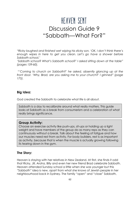# Heaven Sent Discussion Guide 9 "Sabbath—What For?"

*"Ricky laughed and finished wet wiping his sticky son. 'OK, I don't think there's enough wipes in here to get you clean. Let's go have a shower before Sabbath school.'*

*'Sabbath school? What's Sabbath school?' I asked sitting down at the table" (pages 159-60).*

*"'Coming to church on Sabbath?' he asked, absently glancing up at the front door. 'Why, Brad, are you asking me to your church?' I grinned" (page 175).*

# **Big Idea:**

God created the Sabbath to celebrate what life is all about.

Sabbath is a day to recalibrate around what really matters. This guide looks at Sabbath as a break from consumerism and a celebration of what really brings significance.

#### **Group Activity:**

Choose an exercise activity like push-ups, sit-ups or holding up a light weight and have members of the group do as many reps as they can continuously without a break. Talk about the feeling of fatigue and how our muscles need rest from activity. For body builders, rest is as important as activity, because that is when the muscle is actually growing following its tearing down in the gym.

#### **The Story:**

Heaven is staying with her relatives in New Zealand. At first, she finds it odd that Ricky, Jill, Aroha, Billy and even her new friend Brad celebrate Sabbath. Heaven attended Sunday school a little when she was younger but this "Sabbath" idea is new, apart from what she knows of Jewish people in her neighbourhood back in Sydney. The family "open" and "close" Sabbath,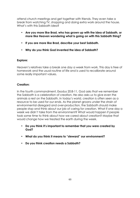attend church meetings and get together with friends. They even take a break from watching TV, shopping and doing extra work around the house. What's with this Sabbath idea?

- **Are you more like Brad, who has grown up with the idea of Sabbath, or more like Heaven wondering what is going on with this Sabbath thing?**
- **If you are more like Brad, describe your best Sabbath.**
- **Why do you think God invented the idea of Sabbath?**

#### **Explore:**

Heaven's relatives take a break one day a week from work. This day is free of homework and the usual routine of life and is used to recalibrate around some really important values.

#### **Creation:**

In the fourth commandment, Exodus 20:8-11, God asks that we remember the Sabbath is a celebration of creation. He also asks us to give even the animals a rest on the Sabbath. In today's world, creation is often seen as a resource to be used for our ends. As the planet groans under the strain of environmental disregard and over-production, the Sabbath should make people stop and think about our job of caring for creation. What if one day a week we didn't take from the environment? What would happen if people took some time to think about how we cared about creation? Maybe that would change how we treated the earth during the week.

- **Do you think it's important to remember that you were created by God?**
- **What do you think it means to "steward" our environment?**
- **Do you think creation needs a Sabbath?**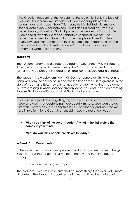The Creation account, at the very start of the Bible, highlights the idea of Sabbath. In Genesis 2 we are told that God especially blessed the seventh day and made it holy. This means He highlighted this time as a special date every week between Himself and His creation. Even in a perfect world, without sin, God still put in place the idea of Sabbath. Did God need a rest? No, He made Sabbath as a special time for us to remember our relationship with Him, other people and creation. Sure, everyday God wants to do life with us, but amid the demands of life and the continual bombardment of culture, Sabbath stands as a break to remember what really matters.

#### **Freedom:**

The 10 commandments are recorded again in Deuteronomy 5. This second time, the reason given for remembering the Sabbath is not creation but rather that God brought the children of Israel out of slavery and into freedom.

The Sabbath is a weekly reminder that God has done everything He can to bring you from the slavery of sin and into the freedom of His forgiveness. In the story of Adam and Eve, they did not need to rest from what they had done but were resting in what God had already done. You and I can't do anything to earn God's love—it's about what God has already done.

Sabbath is a great day for getting together with other people to worship God and grow in understanding more about Him. Sure, God wants to do life with us every day, but Sabbath allows us to especially rethink who we are in relationship to God, which should shape the rest of our week.

- **When you think of the word "freedom," what is the first picture that comes to your mind?**
- **What do you think people are slaves to today?**

#### **A Break From Consumerism:**

In the consumeristic worldview, people think that happiness comes in things. Society tells us that to get things we need money and that time equals money.

time = money = things = happiness

The problem is, we live in a culture that has more things than ever, yet is more discontent. The Sabbath is about reminding us that time does not equal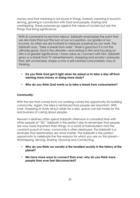money and that meaning is not found in things. Instead, meaning is found in serving, growing in connection with God and people, sharing and worshipping. These purposes go against the values of society but are the things that bring significance.

With its command to rest from labour, Sabbath emphasises the point that we are more than just the sum of our occupation, our arades or our income. So often we are inclined to measure ourselves by our work. The Sabbath says, "Take a break from work." Work is good but it is not the ultimate good. God is the ultimate—and resting in Him and focusing on Him is of greater significance. I have value as I connect with Him. Sabbath gives us a break from TV advertisements, shopping and society's pressures that, left unchecked, shape us into a self-centred consumerisitc way of thinking.

- **Do you think God got it right when He asked us to take a day off from earning more money or doing more study?**
- **Why do you think God wants us to take a break from consumerism?**

#### **Community:**

With the rest that comes from not working comes the opportunity for building community. Again, the idea is reinforced that *people are important*. With work, shopping or study all put aside for a day, space can be made for the real business of caring about people.

Heaven's relatives often spend Sabbath afternoon in unhurried time with other people at "3D." Sabbath is the perfect day to remember that people are way more important than things. In a world of individualism and the constant pursuit of more, community is often destroyed. The Sabbath is a reminder that relationships are what matter. The Sabbath is the perfect opportunity to celebrate the five reasons for which you are on this planet— Worshipping, Serving, Sharing, Growing and Connecting.

- **Why do you think our society is the loneliest society in the history of the planet?**
- **We have more ways to connect than ever; why do you think more people than ever feel disconnected?**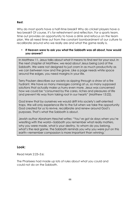#### **Rest:**

Why do most sports have a half-time break? Why do cricket players have a tea break? Of course, it's for refreshment and reflection. For a sports team, time out provides an opportunity to have a drink and refocus on the team plan. We all need time out from the constant bombardment of our culture to recalibrate around who we really are and what the game really is.

#### • **If Heaven were to ask you what the Sabbath was all about, how would you answer?**

In Matthew 11, Jesus talks about what it means to find rest for your soul. In the next chapter of Matthew, we read about Jesus being Lord of the Sabbath. We were not designed to just cram in as much productivity as we can between now and the grave. Like a page needs white space around the edges, you need margins in your life.

Terry Paulsen describes our society as sipping through a straw at a fire hydrant. We have so many messages coming at us, so many supposed solutions that actually make us hurry even more. Jesus was concerned how we could be "consumed by the cares, riches and pleasures of life and prevent His way from taking root in our hearts" (Matthew 13:22).

God knew that by ourselves we would drift into society's self-oriented traps. We will only experience life to the full when we take the opportunity God created for us to revive, recalibrate and renew around God's purposes. That's what the Sabbath is about.

Jewish author Abraham Heschel writes: "You've got six days when you're wrestling with the world—Sabbath you remember what really matters, why you were made, what is your destiny, to whom do you belong, what's the real game. The Sabbath reminds you why you were put on this earth—remember compassion is more important than winning.'

#### **Look:**

Read Mark 2:23–3:6:

The Pharisees had made up lots of rules about what you could and could not do on the Sabbath.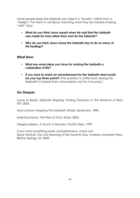Some people keep the Sabbath yet make it a "burden" rather than a "delight." For them it's all about watching what they do instead of being "with" God.

- **What do you think Jesus meant when He said that the Sabbath was made for man rather than man for the Sabbath?**
- **Why do you think Jesus chose the Sabbath day to do so many of His healings?**

#### **What Now:**

- **What are some ideas you have for making the Sabbath a celebration of life?**
- **If you were to make an advertisement for the Sabbath what would be your top three points?** (This question is a little ironic seeing the Sabbath is a break from consumerism, but try it anyway.)

# **Go Deeper:**

Lynne M Baab, *Sabbath Keeping: Finding Freedom in The Rhythms of Rest,* IVP, 2005 .

Marva Dawn, *Keeping The Sabbath Wholly,* Eerdmans, 1989.

Mark Buchanon, *The Rest of God,* Word, 2006.

Gregory Nelson, *A Touch of Heaven,* Pacific Press, 1999.

If you want something really comprehensive, check out: Sigve Tonstad, *The Lost Meaning of the Seventh Day,* Andrews University Press: Berrian Springs, MI, 2009.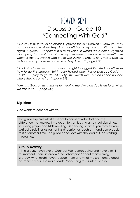# Heaven Sent Discussion Guide 10 "Connecting With God"

*"'Do you think it would be alright if I prayed for you, Heaven? I know you may not be convinced it will help, but it can't hurt to try now can it?' He smiled again. 'I guess,' I whispered in a small voice. It wasn't like a bolt of lightning was going to shoot out of the sky because someone who wasn't sure*  whether she believed in God or not was trying to pray to Him. Pastor Dan left *his hand on my shoulder and took a deep breath" (page 217).*

*"'Look, Brad, ummm, I know I have no right to suggest this. And I don't know how to do this properly. But it really helped when Pastor Dan . . . Could I could I . . . pray for you?' I bit my lip. The words were out and I had no idea where they'd come from" (page 248).*

*"Ummm, God, ummm, thanks for hearing me. I'm glad You listen to us when we talk to You" (page 249).*

#### **Big Idea:**

God wants to connect with you.

This guide explores what it means to connect with God and the difference that makes. It moves on to start looking at spiritual disciplines, including prayer and Bible reading. Depending on time, you may explore spiritual disciplines as part of this discussion or touch on it and come back to it at another time. The guide concludes with the idea of God working through us.

#### **Group Activity:**

If in a group, have several Connect Four games going and have a mini tournament. Then "interview" the "champion" about their winning strategy, what might have stopped them and what makes them so good at Connect Four. The main point: Connecting takes intentionality.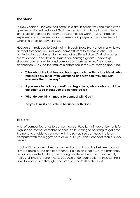# **The Story:**

In New Zealand, Heaven finds herself in a group of relatives and friends who give her a different picture of God. Heaven is sorting through a lot of issues and starts to consider that perhaps God may be worth "trying." Heaven experiences a closeness of God's presence in prayer and surprises herself when she offers to pray for Brad.

Heaven is introduced to God mainly through Brad. Every once in a while we all meet someone like Brad who seems different to everyone else—still achieving lots but doing it to the beat of a different drum. Their character seems deeper, ideas fresher, spirit softer, courage greater, leadership stronger, concerns wider, and compassion more genuine. They have a connection with God that makes a difference in the way they go about life.

- **Think about the last time you had a good chat with a close friend. What makes it easy to talk with your friend and why don't you talk with everyone the same way?**
- **If you were to picture yourself as a Lego block, who or what would be the other Lego blocks you are connected to?**
- **What do you think it means to connect with God?**
- **Do you think it's possible to be friends with God?**

# **Explore:**

A lot of companies tell us to get connected. Usually, it's in advertisements for high speed internet or mobile phones. It's frustrating to be trying to get onto the net and unable to connect with the server. You can have the latest computer with the biggest hard drive, but if you can't connect then it is very limited.

In John 15, Jesus describes the connection that is possible between us and Him like being a vine and its branches. He explains that if we, the branches, remain connected to Him, then through us He will bear much fruit. A truly fruitful, fulfilling life is one where, because of our connection with Jesus, He is able to work in and through us to produce the fruits of the Spirit.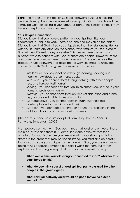**Extra:** The material in this box on Spiritual Pathways is useful in helping people develop their own, unique relationship with God. If you have time, it may be worth exploring in your group as part of this session. If not, it may be worth exploring at another time.

### **Your Unique Connection:**

Did you know that you have a pattern on your lips that, like your fingerprints, is unique to you? There is no-one else like you on the planet. Did you know that God wired you uniquely so that the relationship He has with you is unlike any other on the planet? What makes you feel close to God will be different to anybody else. This means there are as many different ways to connect with God as there are people. However, there are some general ways these connections work. These ways are often called spiritual pathways and describe the way you most naturally feel connected with God and grow. The main pathways are:

- Intellectual—you connect best through learning, reading and hearing new ideas (eg, sermons, books).
- Relational—you connect best through talking with other people (eg, small group, testimonies).
- Serving—you connect best through involvement (eg, serving in your home, church, community).
- Worship—you connect best through times of adoration and praise (eg, private and public times of worship).
- Contemplative—you connect best through quietness (eg, contemplation, long walks, quite time).
- Creation—you connect best through nature (eg, exploring in the outdoors, finding out more about an animal).

(The paths outlined here are adapted from Gary Thomas, *Sacred Pathways*, Zondervan, 2000.)

Most people connect with God best through at least one or two of these main pathways and there is usually at least one pathway that feels unnatural for you. Make sure you keep growing your strong points but stretch in the areas that may not be as strong. You must also be careful that as you create your unique connection with God, you are not simply doing things because someone else said it works for them but rather exploring and growing in ways that grow your unique relationship.

- **When was a time you felt strongly connected to God? What factors contributed to this?**
- **What do you think your strongest spiritual pathways are? Do other people in the group agree?**
- **What spiritual pathway area would be good for you to extend yourself in?**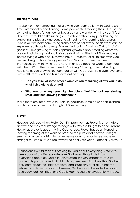#### **Training v Trying:**

It's also worth remembering that growing your connection with God takes time, intentionality and training. Some people start reading their Bible, or start some other habit, for an hour or two a day and wonder why they don't feel different. It would be like running a marathon without any prior training, or expecting to play a piano concerto without having learnt to play scales. Even if you try really hard, trying alone does not allow you to do what can be experienced through training. Paul reminds us in 1 Timothy 4:7, 8 to "train" in godliness. Like growing muscles, spiritual growth is about starting where you are and building up bit-by-bit. Maybe start with a little bit of Bible reading before trying a whole hour. Maybe have 10 minutes of quite time with God before doing an hour. Many people "try" God and when they wear themselves out with trying really hard, think God does not want to connect with them. What they have missed is "training." Training in heart-building habits helps you grow in your connection with God. Just like a gym, everyone is at a different point and has a different next step.

- **Can you think of some other examples where training allows you to do what trying alone does not?**
- **What are some ways you might be able to "train" in godliness, starting small and then growing in that habit?**

While there are lots of ways to 'train' in godliness, some basic heart-building habits include prayer and thoughtful Bible reading.

#### **Prayer:**

Heaven feels odd when Pastor Dan first prays for her. Prayer is an unnatural activity and may feel strange to begin with. We are taught to be self-reliant. However, prayer is about inviting God to lead. Prayer has been likened to leaving the smog of this world to breathe the pure air of heaven. It might seem a bit unusual talking to someone we can't physically see and even stranger to listen but God really wants to hear your voice—after all, you're His child.

Philippians 4:6-7 talks about praying to God about everything. Often we keep parts of our life separate from God, even though He knows everything about us. God is truly interested in every aspect of your life and wants you to share it with Him. Too often, we might think that God will only care about the "big" problems and situations, after all He has the whole world to worry about. However, God wants to be invited into your everyday, ordinary situations. God is keen to share everyday life with you.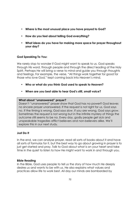- **Where is the most unusual place you have prayed to God?**
- **How do you feel about telling God everything?**
- **What ideas do you have for making more space for prayer throughout your day?**

#### **God Speaking To You:**

We rarely stop to wonder if God might want to speak to us. God speaks through His word, through people and through the direct leading of the Holy Spirit. Perhaps He will bring a verse to mind and guide you through thoughts and feelings. For example, the verse, "All things work together for good for those who love God," kept coming back into Heaven's mind.

- **Who or what do you think God used to speak to Heaven?**
- **When are you best able to hear God's still, small voice?**

#### **What about "unanswered" prayer?**

Doesn't "unanswered" prayer show that God has no power? God leaves no sincere prayer unanswered. If the request is not right for us, God says *no*. If the timing is wrong, God says *slow*. If you are wrong, God says *grow*. Sometimes the request is not wrong but in the infinite mystery of things the outcome still seems to be no. Every day, godly people get sick and unspeakable tragedies afflict believers and non-believers alike. We'll explore this in our next study.

#### **Just Do It**

In the end, we can analyse prayer, read all sorts of books about it and have all sorts of formulas for it, but the best way to go about growing in prayer is to just get started and pray. Talk to God about what is on your heart and take time in the quiet to listen to how He might want to work in and through you.

#### **Bible Reading**

In the Bible, God uses people to tell us the story of how much He deeply desires us and wants to be with us. He also explains what values and practices allow life to work best. All day our minds are bombarded by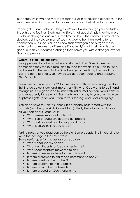billboards, TV shows and messages that pull us in a thousand directions. In this world, we need God's word to give us clarity about what really matters.

Reading the Bible is about letting God's word wash through your attitudes, thoughts and feelings. Studying the Bible is not about simply knowing more; it's about change in our lives. In the time of Jesus, the Pharisees prayed and studied, but they did so in a self-seeking way rather than looking for a connection with God. You can know that hydrogen and oxygen make water, but that makes no difference if you're dying of thirst. Knowledge is good, but only if it causes a change that leaves you with a stronger love for God and people.

## **Where To Start – Helpful Hints**

Many people do not know where to start with their Bible. A new year comes and they make a resolution to read the whole Bible, start to finish, by the end of the year. By the time they get to Leviticus, their resolution starts to get a bit shaky. So how do we go about reading and applying God's word?

Jesus reminds us in John 14:26 to always start with prayer inviting the Holy Spirit to guide our study and impress us with what God wants to do in and through us. It's a good idea to start with just a small section. Read it slowly and repeatedly to see what God might want to say to you or until a word or phrase lights up for you. Listen to your feelings and God's nudgings.

You don't have to start in Genesis. It's probably best to start with the gospels (Matthew, Mark, Luke and John). Study these books to discover all you can about Jesus. Ask:

- What seems important to Jesus?
- What sort of questions does He ask people?
- What sort of questions do people ask Him?
- What is Jesus inviting you to do?

Taking notes as you read can be helpful. Some people find it helpful to rewrite the passage in their own words.

Some useful questions to ask as you read are:

- What speaks to my heart?
- What new thought or idea comes to me?
- What does scripture move me to do?
- Is there an example here for me to follow?
- Is there a promise to claim or a command to obey?
- Is there a truth to be applied?
- Is there a prayer for me to pray?
- Is there a sin to be confessed?
- Is there a question God is asking me?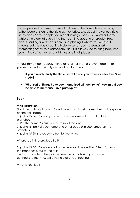Some people find it useful to read or listen to the Bible while exercising. Other people listen to the Bible as they drive. Check out the various Bible study apps. Some people focus on studying a particular word or theme, while others look at everything they can find about a character. How about printing a verse on a card and placing it where you will see it throughout the day or putting Bible verses on your screensaver? Memorising scripture is particularly useful. It allows God to bring back into your mind various verses at all times and in all places.

Always remember to study with a rake rather than a shovel—apply it to yourself rather than simply dishing it out to others.

- **If you already study the Bible, what tips do you have for effective Bible study?**
- **What sort of things have you memorised without trying? How might you be able to memorise Bible passages?**

# **Look:**

## **Vine Illustration**

Slowly read through John 15 and draw what is being described in the space on the next page:

1. (John 15:1-4) Draw a picture of a grape vine with roots, trunk and branches.

2. Put the name "Jesus" on the trunk of the vine.

3. (John 15:5a) Put your name and other people in your group on the branches.

4. (John 15:5b-6) Add some fruit to your vine.

Whose job is it to produce fruit?

5. (John 15:7-8) Draw arrows from where you have written "Jesus", through the branches (you) to the fruit.

6 – Draw a circle at the point where the branch with your name on it connects to the vine. Write in the circle "Connecting."

What is your job?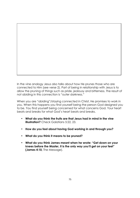In the vine analogy Jesus also talks about how He prunes those who are connected to Him (see verse 2). Part of being in relationship with Jesus is to allow the pruning of things such as pride, jealousy and bitterness. The result of not abiding in this connection is "outer darkness."

When you are "abiding"/staying connected in Christ, He promises to work in you. When this happens you find yourself being the person God designed you to be. You find yourself being concerned for what concerns God. Your heart beats and breaks for what God's heart beats and breaks.

- **What do you think the fruits are that Jesus had in mind in the vine illustration?** Check Galatians 5:22, 23.
- **How do you feel about having God working in and through you?**
- **What do you think it means to be pruned?**
- **What do you think James meant when he wrote: "Get down on your knees before the Master, it is the only way you'll get on your feet" (James 4:10,** The Message).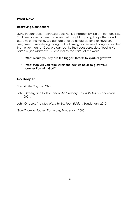# **What Now:**

## **Destroying Connection:**

Living in connection with God does not just happen by itself. In Romans 12:2, Paul reminds us that we can easily get caught copying the patterns and customs of this world. We can get choked by distractions, exhaustion, assignments, wandering thoughts, bad timing or a sense of obligation rather than enjoyment of God. We can be like the seeds Jesus described in His parable (see Matthew 13), choked by the cares of this world.

- **What would you say are the biggest threats to spiritual growth?**
- **What step will you take within the next 24 hours to grow your connection with God?**

# **Go Deeper:**

Ellen White, *Steps to Christ*.

John Ortberg and Haley Barton, *An Ordinary Day With Jesus,* Zondervan, 2001.

John Ortberg, *The Me I Want To Be, Teen Edition*, Zondervan, 2010.

Gary Thomas, *Sacred Pathways*, Zondervan, 2000.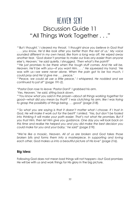# Heaven Sent Discussion Guide 11 "All Things Work Together . . ."

*"'But I thought,' I cleared my throat, 'I thought since you believe in God that . . . you know, He'd like look after you better than the rest of us.' My voice sounded different in my own head, like from a long way off. He wiped away another tear. 'God doesn't promise to make our lives any easier than anyone else's, Heaven,' he said quietly. I shrugged. 'Then what's the point?'*

*"'He just promises to be there when the tough stuff comes. And He will be, Heaven. He'll be with you—if you want Him. . . .' He squeezed my hand. 'He was with us—we were never alone. When the pain got to be too much, I could pray and He'd give me . . . peace.'*

*"'Peace, we could all use a little peace,' I whispered. He nodded and we continued to just sit" (page 191-2).*

*"Pastor Dan rose to leave.'Pastor Dan?' I grabbed his arm.*

*'Yes, Heaven,' he said, sitting back down.*

*"'You know what you said in the prayer—about all things working together for good—what did you mean by that?' I was clutching his arm, like I was trying to grasp the possibility of things being . . . good" (page 218).*

*"'So what you are saying is that it doesn't matter what I choose. If I trust in God, He will make it work out for the best?' I smiled. 'Yes, but don't be fooled*  into thinking it will make your path easier. That's not what He promises. But if *you trust Him, then let Him give you guidance. One day you will look back on this time and realise He helped you and you did make the best decision you could make for you and your baby,' he said" (page 219).*

*"We're like a mosaic, Heaven. All of us are broken and God takes those broken bits and forms them into a masterpiece. In supporting and loving each other, God makes us into a beautiful picture of His love" (page 216).*

## **Big Idea:**

Following God does not mean bad things will not happen—but God promises He will be with us and work things for His glory in the big picture.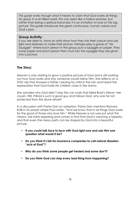This guide works though what it means to claim that God works all things for good. In a sin-filled world, this can seem like a hollow promise, but rather than being a spiritual band-aid, it is an invitation to look at the big picture. This guide introduces the great controversy, human nature and God's plan.

## **Group Activity:**

If you are able to, have an artist show how they mix their colours and use light and darkness to make their picture. Perhaps play a game of "Mr Squiggle" where each person in the group puts a squiggle on paper. They swap paper and each person then must turn the squiggle they are given into a picture.

# **The Story:**

Heaven is only starting to grow a positive picture of God and is still working out how God works and why someone would follow Him. She reflects on a DVD clip that showed a father carrying his child in the rain and heard the explanation that God holds His children close in the storms.

She wonders why God didn't stop the car crash that killed Brad's friend—her cousin, Will. If Brad is such a good guy and follows God, why was he not protected from the drunk driver?

In a discussion with Pastor Dan on adoption, Pastor Dan mentions Romans 8:28 in his prayer where Paul writes, "And we know that in all things God works for the good of those who love him." While Heaven is not sure just what this means, she starts exploring and comes to find that God is weaving a tapestry and that even the messy parts can be shaped by God into a beautiful picture.

- **If you could talk face to face with God right now and ask Him one question what would it be?**
- **Do you think it's fair for insurance companies to call natural disasters "acts of God"?**
- **Why do you think some people get healed and some don't?**
- **Do you think God can stop every bad thing from happening?**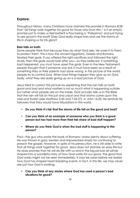# **Explore:**

Throughout history, many Christians have claimed the promise in Romans 8:28 that "all things work together for good for those who love Him." Is it an empty promise just to make us feel better? Is Paul being a "Pollyanna" and just trying to see good in the bad? Does God really shape lives and use the storms of life in shaping us for His glory?

#### **Rain falls on both:**

Some people think that because they do what God asks, He owes it to them to protect them. This is how the ancient Egyptians, Greeks and Romans treated their gods. If you offered the right sacrifices and followed the right rituals, then the gods would look after you—so they believed. If something bad happened, you must have upset the gods. Even in the New Testament, people thought that if someone was sick it must have been as a result of something they or their parents had done wrong. In this picture of the world, people try to control God. When bad things happen they give up on God. Sadly, what they are really giving up on is a bad picture of God.

Jesus tried to correct this picture by explaining that the rain falls on both good and bad and what matters is not so much what is happening outside but rather what people are on the inside. God actually tells us in the Bible that the rain will fall on the just and unjust and that storms come upon the wise and foolish (see Matthew 5:45 and 7:24-27). In John 16:33, He reminds His followers that they would have tribulations in this world.

- **Do you think it's fair that the storms of life fall on the good and bad?**
- **Can you think of an example of someone who you think is a good person but has had more than their fair share of bad stuff happen?**
- **Where do you think God is when the bad stuff is happening to this person?**

Paul—the guy who wrote the book of Romans—knew plenty about suffering. He was thrown in gaol, beaten and shipwrecked simply for continuing to preach the gospel. However, in spite of his persecution, he is still able to write that all things work together for good. Jesus does not promise an easy life but He does promise that He will do life with us and in the big picture all will be shaped into a wonderful story of how God works for our good. The good that God works might not be seen immediately. It may be years before we realise how God has shaped heart-breaking events. In fact, in this life, we may never see just how God is working.

• **Can you think of any stories where God has used a person's bad situations for good?**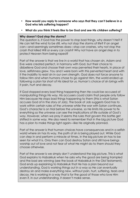- **How would you reply to someone who says that they can't believe in a God who lets suffering happen?**
- **What do you think it feels like to be God and see His children suffering?**

#### **Why doesn't God stop the storms?**

The question is, if God has the power to stop bad things, why doesn't He? If He can tell the wind to be still, why not stop the storms of life? If an angel can—and seemingly sometimes does—stop car crashes, why not stop the crash that killed Will or every car crash? Why not have an angel step in to protect Heaven from being raped?

Part of the answer is that we live in a world that has chosen sin. Adam and Eve were created perfect, in harmony with God, but their choice to disbelieve God and choose their own way perverted their hearts. In place of love, selfishness grew. You and I were born with this perverted heart and with it the inability to resist sin in our own strength. God does not force anyone to follow Him and when humans chose to go against Him, the world ended up following a plan far short of His ideal for us. Human's choice of sin brings with it pain, hurt and decay.

If God stopped every bad thing happening then He could be accused of manipulating things His way. His accusers could claim that people only follow Him because He stops bad things happening to them (this is what Satan accuses God of in the story of Job). The book of Job suggests God has to work within certain rules of the universe while the war with Satan continues. God's character is on trial before the universe, so He limits His power to fix everything so the universe can see the implications of life outside of God's way. However, when we pray it seems the rules that govern this battle get shifted in some way. We also need to remember that in the big picture God has a plan to make things right again—like He originally planned.

Part of the answer is that human choices have consequences and in a selfish world where sin has its way, the path of sin is being played out. While God can step in and perform a miracle at times, in the big picture sin has to be seen for what it is. Only then can God destroy Satan and still have beings worship out of love and not fear of what He might do to them should they choose otherwise.

even if, in our understanding, it doesn't make sense. Part of the answer is we simply don't understand the big picture. This is what God explains to Habakkuk when he asks why the good are being trampled and the bad are winning (see the book of Habakkuk in the Old Testament). God ends up explaining to Habakkuk that He has a plan beyond our understanding. God is working things out in a way so He can eventually destroy sin and make everything new, without pain, hurt, suffering, tears and decay. He is working in a way that is for the good of those who love Him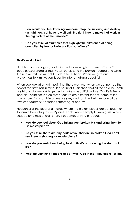- **How would you feel knowing you could stop the suffering and destroy sin right now, yet have to wait until the right time to make it all work in the big picture of the universe?**
- **Can you think of examples that highlight the difference of being controlled by fear or taking action out of love?**

## **God's Work of Art:**

Until Jesus comes again, bad things will increasingly happen to "good" people. God promises that He will be close to the broken-hearted and while the rain will fall, He will hold us close to His heart. When we give our brokenness to Him, He paints our life into something beautiful.

When you look at an artist painting, there are times when we cannot see the object the artist has in mind. It is not until it is finished that all the colours—both bright and dark—work together to make a beautiful picture. Our life is like a beautiful painting! The colours of our life are different shades. Some of the colours are vibrant, while others are grey and sombre, but they can all be "*worked together*" to shape something of beauty.

Heaven uses the idea of a mosaic where the broken pieces are put together to form a beautiful picture. By itself, each piece is simply broken glass. When shaped by a master craftsman, it becomes a thing of beauty.

- **How do you feel about God taking your broken bits and using them for His masterpiece?**
- **Do you think there are any parts of you that are so broken God can't use them in shaping His masterpiece?**
- **How do you feel about being held in God's arms during the storms of life?**
- **What do you think it means to be "with" God in the "tribulations" of life?**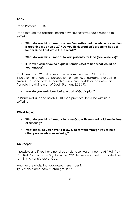# **Look:**

Read Romans 8:18-39.

Read through the passage, noting how Paul says we should respond to suffering.

- **What do you think it means when Paul writes that the whole of creation is groaning (see verse 22)? Do you think creation's groaning has got louder since Paul wrote these words?**
- **What do you think it means to wait patiently for God (see verse 25)?**
- **If Heaven asked you to explain Romans 8:28 to her, what would be your answer?**

Paul then asks: "Who shall separate us from the love of Christ? Shall tribulation, or anguish, or persecution, or famine, or nakedness, or peril, or sword? No; none of these hardships—no force, visible or invisible—can frustrate the divine plan of God" (Romans 8:35-39).

## • **How do you feel about being a part of God's plan?**

In Psalm 46:1-3, 7 and Isaiah 41:10, God promises He will be with us in suffering.

# **What Now:**

- **What do you think it means to have God with you and hold you in times of suffering?**
- **What ideas do you have to allow God to work through you to help other people who are suffering?**

## **Go#Deeper:**

If possible and if you have not already done so, watch Nooma 01 "Rain" by Rob Bell (Zondervan, 2005)**.** This is the DVD Heaven watched that started her re-thinking her picture of God.

Another useful clip that addresses these issues is: Ty Gibson, digma.com, "Paradigm Shift."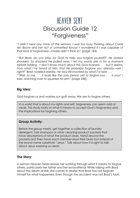# Heaven Sent Discussion Guide 12 "Forgiveness"

*"I didn't hear any more of the sermon, I was too busy thinking about Corrie ten Boom and her act of unmerited favour. I wondered if I was capable of that kind of forgiveness—I really didn't think so" (page 183).*

*"'But Brad, do you pray for God to help you forgive yourself?' He looked shocked. So shocked he pulled over. I let my words sink in for a moment before adding. 'I don't know much about this God business . . . but it seems, from what I've heard of Him, that He probably forgave you already—am I right?" Brad nodded blankly. He was still shocked by what I'd said. . . . "'Well, to me . . . it looks like the only person yet to forgive you . . . is you!' I* 

*said, reaching over to squeeze his arm" (page 248).*

# **Big Idea:**

God forgives us and washes our guilt away. We are to forgive others.

In a world that is about my rights and self, forgiveness can seem odd or weak. This study looks at what it means to accept God's forgiveness and the implications for forgiving others.

# **Group Activity:**

Before the group meets, get together a collection of laundry detergent, hair shampoo or other cleaning product packets that have descriptions of what the product does. Hand around the packets and then have each member read their blurb but instead of the brand name substitute "Jesus." Talk about how it is right to talk about Jesus washing us clean.

# **The Story:**

A sermon Heaven hears leaves her working through what it means to forgive others, particularly her father and her ex-boyfriend. While talking with Brad about the death of Will, she comes to realise that Brad has not forgiven himself for what happened. Even though the accident was not Brad's fault,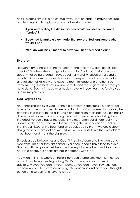he still blames himself. In an unusual twist, Heaven ends up praying for Brad and leading him through the process of self-forgiveness.

- **If you were writing the dictionary how would you define the word "forgive"?**
- **If you had to make a clay model that represented forgiveness what would it be?**
- **What do you think it means to have your heart washed clean?**

## **Explore:**

Heaven blames herself for her "situation" and feels the weight of her "big mistake." She feels she is not good enough for Brad and is self-conscious about what being pregnant says about her morality, especially around a bunch of Christians. However, from God's perspective, all of us are broken and fall short of His glory and have no room to judge one another (see Romans 3:23). The best news you will ever hear is that regardless of what you have done God is still head over heels in love with you, wants to forgive you and make you clean.

## **God Forgives You**

Sin—choosing self over God—is the big problem. Sometimes we can forget how serious the sin problem is. We tend to think of sin as something we do, like cheating in a test or telling a lie. This is one definition of sin but the Bible has 12 different definitions of sin including the sin of omission, which is failing to do the good we could have! The actions we most often call sin are really the apples on the apple tree, with the tree being the sin in our heart. Reality is that sin is an issue of the heart and sin equals death. Even if we could stop doing those outward actions we call sin, we would still have the sin problem in our hearts and that's the big issue.

Sin puts a gap between us and God. This is why Adam and Eve wanted to hide from Him after they first sinned. Ever since, people have tried to avoid God and fill the gap in their hearts with everything else but Him. Like a wrong note in a chord, our hearts are not in harmony with God.

You might think this whole sin thing is not such a problem. You might not go around murdering, stealing, taking God's name in vain or committing adultery. Maybe you don't swear—perhaps you don't even say "shut up." But how would it feel if we could plug into your brain and have your thoughts put up on a screen for everyone to see?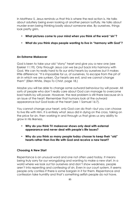In Matthew 5, Jesus reminds us that this is where the real action is. He talks about adultery being even looking at another person lustfully. He talks about murder even being thinking badly about someone else. By ourselves, things look pretty grim.

- **What pictures come to your mind when you think of the word "sin"?**
- **What do you think stops people wanting to live in "harmony with God"?**

#### **An Extreme Makeover**

God is keen to take your old "stony" heart and give you a new one (see Ezekiel 11:19). Only through Jesus can we be put back into harmony with God. We can try really hard to fix our sinful hearts by ourselves but it makes little difference: "It is impossible for us, of ourselves, to escape from the pit of sin in which we are sunken. Our hearts are evil, and we cannot change them" (Ellen White, *Steps To Christ*, page 18.)

Maybe you will be able to change some outward behaviour by will power. All sorts of people who don't really care about God can manage to overcome bad habits by will power. However, the real problem is still there because sin is an issue of the heart. Remember that humans look at the outward appearance but God looks at the heart (see 1 Samuel 16:7).

You cannot change your heart, only God can do that—but you can choose to live life with Him. It is entirely what Jesus did in dying on the cross, taking on the price for sin, then working in and through us that gives us any ability to grow in His likeness.

- **Why do you think TV makeover shows only deal with external appearance and never deal with people's life issues?**
- **Why do you think so many people today choose to keep their "old" hearts rather than live life with God and receive a new heart?**

#### **Choosing A New Start**

Repentance is an unusual word and one not often used today. It means being truly sorry for our wrongdoing and wanting to make a new start. In a world where we look out for ourselves and don't show weakness, people aren't into repenting and confessing of sin. Even in our court system, it seems people only confess if there is some bargain in it for them. Repentance and confession take humility and that's something selfish people do not have.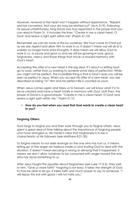However, renewal of the heart won't happen without repentance. "Repent and be converted, that your sins may be blotted out" (Acts 3:19). Following his sexual unfaithfulness, King David was truly repentant in the prayer that you can read in Psalm 51. It includes the lines: "Create in me a clean heart, O God; and renew a right spirit within me" (Psalm 51:10).

Remember we can do none of this by ourselves. We must come to Christ just as we are, repent and allow Him to work in us. It doesn't mean we will all of a sudden no longer have sinful thoughts. It does mean we will allow God to work in us, to prune and grow us and we will be growing in love, grace, forgiveness, mercy and those things that move us toward harmony with God's heart.

Accepting the offer of a new heart is the big deal. It's about us letting God go to work, rather than us working to achieve some idea of perfection. While you might not be perfect, the incredible thing is that in God's eyes you will be seen as perfect in Jesus. When you accept His offer of a new heart, you are described as being "in" Him and His perfect life is counted as yours.

When Jesus comes again and takes us to heaven, we will know what it is to be re-created and have a heart totally in harmony with God. Until then, the prayer of David is a good prayer: "Create in me a clean heart, O God; and renew a right spirit within me." Psalm 51:10

• **How do you feel when you read that God wants to create a clean heart in you?**

#### **Forgiving Others:**

God longs to forgive you and then work through you to forgive others. Jesus spent a great deal of time talking about the importance of forgiving people who have wronged us. He made it clear that forgiveness is to be a characteristic of His followers (see Matthew 8:21-35).

To forgive means to not seek revenge on the one who has hurt us. It means letting go of the anger we harbour inside us and trusting God to deal with the situation. It doesn't mean excusing a wrong or denying that it happened. It means we don't allow ourselves to be consumed with anger toward the one who has done something to us.

After Jesus taught the apostles about forgiveness (see Luke 17:3-5), they said to him, "Give us more faith!" Forgiving is not easy. It takes the strength of God to truly be able to let go. It takes faith and much prayer to say to someone, "I will repay this evil with good. I will not hate you."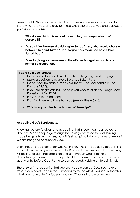Jesus taught, "Love your enemies, bless those who curse you, do good to those who hate you, and pray for those who spitefully use you and persecute you" (Matthew 5:44).

- **Why do you think it is so hard for us to forgive people who don't deserve it?**
- **Do you think Heaven should forgive Jarrod? If so, what would change between her and Jarrod? Does forgiveness mean she has to take Jarrod back?**
- **Does forgiving someone mean the offense is forgotten and has no further consequences?**

#### **Tips to help you forgive:**

- Do not deny that you have been hurt—forgiving is not denying.
- Make a decision to forgive others (see Luke 17:3–5).
- Do not seek revenge or repay evil for evil. Let God handle it (see Romans 12:17).
- If you are angry, ask Jesus to help you work through your anger (see Ephesians 4:26, 27, 31).
- Pray for a forgiving heart.
- Pray for those who have hurt you (see Matthew 5:44).
- **Which do you think is the hardest of these tips?**

#### **Accepting God's Forgiveness:**

Knowing you are forgiven and accepting that in your heart can be quite different. Many people go through life having confessed to God, having made things right with others, but still feeling guilty. Satan wants us to feel as if we are not good enough for God.

Even though Brad's car crash was not his fault, he still feels guilty about it. It's not until Heaven suggests she pray for Brad and then asks God to take away his feelings of guilt that Brad is able to sort through what is going on. Unresolved guilt drives many people to dislike themselves and see themselves as unworthy before God. Remorse can be good. Holding on to guilt is not.

The answer is to recognise that you are made clean by God. You have a fresh, clean heart. Look in the mirror and try to see what God sees rather than what your "unworthy" voice says you are: "There is therefore now no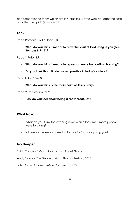condemnation to them which are in Christ Jesus, who walk not after the flesh, but after the Spirit" (Romans 8:1).

# **Look:**

Read Romans 8:5-17**,** John 3:3:

• **What do you think it means to have the spirit of God living in you (see Romans 8:9-11)?**

Read 1 Peter 3:9:

- **What do you think it means to repay someone back with a blessing?**
- **Do you think this attitude is even possible in today's culture?**

Read Luke 7:36-50:

• **What do you think is the main point of Jesus' story?**

Read 2 Corinthians 5:17:

• **How do you feel about being a "new creature"?**

# **What Now:**

- What do you think the evening news would look like if more people were forgiving?
- Is there someone you need to forgive? What's stopping you?

# **Go Deeper:**

Phillip Yancey, *What's So Amazing About Grace*.

Andy Stanley, *The Grace of God*, Thomas Nelson, 2010.

John Burke, *Soul Revolution*, Zondervan, 2008.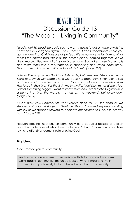# Heaven Sent Discussion Guide 13 "The Mosaic—Living in Community"

*"Brad shook his head, he could see he wasn't going to get anywhere with this conversation. He sighed again. 'Look, Heaven, I don't understand where you got the idea that Christians are all perfect. We're not—we're far from it. What makes the church beautiful is all the broken pieces coming together. We're like a mosaic, Heaven. All of us are broken and God takes those broken bits*  and forms them into a masterpiece. In supporting and loving each other, *God makes us into a beautiful picture of His love'" (page 206).*

*"I know I've only known God for a little while, but I feel the difference. I want Stella to grow up with people who will teach her about Him. I want her to see and be a part of the beautiful mosaic God can make from those who allow Him to be in their lives. For the first time in my life, I feel like I'm not alone. I feel*  part of something bigger. I want to know more and I want Stella to grow up in *a home that lives the mosaic—not just on the weekends but every day" (pages 273-4).*

*"'God bless you, Heaven, for what you've done for us,' she cried as we stepped out onto the stage. . . . 'Trust me, Sharon,' I added, my heart bursting with joy as we stepped forward to dedicate our children to God, 'He already has!'" (page 279).*

Heaven sees her new church community as a beautiful mosaic of broken lives. This guide looks at what it means to be a "church" community and how loving relationships demonstrate a loving God.

# **Big Idea:**

God created you for community

We live in a culture where consumerism, with its focus on individualism, works against community. This guide looks at what it means to live in community. It particularly looks at the value of church community.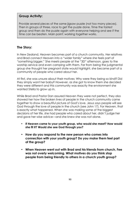## **Group Activity:**

Provide several pieces of the same jigsaw puzzle (not too many pieces). Then in groups of three, race to get the puzzle done. Time the fastest group and then do the puzzle again with everyone helping and see if the time can be beaten. Main point: working together works.

# **The Story:**

In New Zealand, Heaven becomes part of a church community. Her relatives and Brad connect Heaven into a "wider family" where she feels part of "something bigger." She meets people at the "3D" afternoon, goes to the worship service and even camping with them. Far from being the judgmental group she thought her pregnant state would highlight, she became part of a community of people who cared about her.

At first, she was unsure about their motives: Why were they being so kind? Did they simply want her baby? However, as she got to know them she decided they were different and this community was exactly the environment she wanted Stella to grow up in.

While Brad and Pastor Dan assured Heaven they were not perfect, they also showed her how the broken lives of people in the church community came together to show a beautiful picture of God's love. Jesus says people will see God through the love of people in the church (see John 17). For Heaven, that is exactly what happened. When she was making some of the biggest decisions of her life, she had people who cared about her, didn't judge her and gave her wise advice—and she knew she was not alone.

- **If Heaven came to your youth group, who would she meet? How would she fit it? Would she see God through you?**
- **How do you respond to the new person who comes into connection with your youth group? Do you make them feel part of the group?**
- **When Heaven went out with Brad and his friends from church, Fee was not overly welcoming. What motives do you think stop people from being friendly to others in a church youth group?**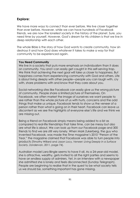# **Explore:**

We have more ways to connect than ever before. We live closer together than ever before. However, while we can have hundreds of Facebook friends, we are now the loneliest society in the history of the planet. Sure, you need time by yourself. However, God's dream for His children is that we live in deep relationship with each other.

The whole Bible is the story of how God wants to create community, how sin destroys it and how God does whatever it takes to make a way for that community to be experienced again.

#### **You Need Community**

We live in a society that puts more emphasis on individualism than it does on community. You and I can easily get caught in this self-serving trap. We think that achieving the next goal will take us closer to happiness. But happiness comes from experiencing community with God and others. Life is about living deeply with other people—people you can laugh with, cry with, share problems with and know that they care about you.

Social networking sites like Facebook can easily give us the wrong picture of community. People share a limited picture of themselves. On Facebook, we often market the image of ourselves we want people to see rather than the whole picture of us with hurts, concerns and the odd things that make us unique. Facebook tends to show us the veneer of a person rather than what is going on in their heart. Facebook can leave us discontent as we see the highlights of everyone else's life and we think we are missing out.

Being a friend on Facebook simply means being added to a list as compared to real-life friendships that take time, can be messy but also are what life is about. We can look up from our Facebook page and 300 friends to find we are still very lonely. When Mark Zukerberg, the guy who invented Facebook, was made the *Time* magazine's 2010 "Person of the Year," the magazine claimed that Facebook was able to turn people into products (Timothy Willard and Jason Locy, *Veneer: Living Deeply in a Surface Society*, Zondervan, 2011, page 74).

Australian model Lara Bingle seems to have it all. As a 24-year-old model, she is attractive, wealthy, gets invited to all the right parties and seems to have an endless supply of admirers. Yet, in an interview with a newspaper she admitted she is lonely and feels disconnected (*Sunday Telegraph*). People are beginning to realise that in the quest to be what society tells us we should be, something important has gone missing.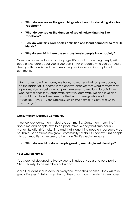- **What do you see as the good things about social networking sites like Facebook?**
- **What do you see as the dangers of social networking sites like Facebook?**
- **How do you think Facebook's definition of a friend compares to real life friends?**
- **Why do you think there are so many lonely people in our society?**

Community is more than a profile page. It's about connecting deeply with people who care about you. If you can't think of people who you can share deeply with, now is the time to re-order your life around God's plan of community.

"No matter how little money we have, no matter what rung we occupy on the ladder of 'success,' in the end we discover that what matters most is people. Human beings who give themselves to relationship building who have friends they laugh with, cry with, learn with, live and love and grow old and die with—these are the human beings who lead magnificent lives."—John Ortberg, *Everybody Is Normal Till You Get To Know Them*, page 31.

## **Consumerism Destroys Community**

In our culture, consumerism destroys community. Consumerism says life is about me and people exist to be productive. We say that time equals money. Relationships take time and that is one thing people in our society do not have. As consumerism grows, community shrinks. Our society turns people into commodities to be used, rather than God's special treasure.

## • **What do you think stops people growing meaningful relationships?**

## **Your Church Family:**

You were not designed to live by yourself; instead, you are to be a part of Christ's family, to be members of His body.

While Christians should care for everyone, even their enemies, they will take special interest in fellow members of their church community: "As we have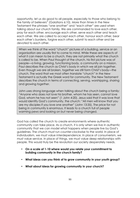opportunity, let us do good to all people, especially to those who belong to the family of believers" (Galatians 6:10). More than times in the New Testament the phrases "one another" and "each other" are used when talking about our church family. We are commanded to love each other, pray for each other, encourage each other, serve each other and teach each other. We are called to accept each other, honour each other, bear each other's burdens, forgive each other, submit to each other and be devoted to each other.

When we think of the word "church" pictures of a building, service or an organisation are usually first to come to mind. While these are aspects of what it can mean to be a church, they are not primarily what the church is called to be. When Paul thought of the church, his first picture was of people—a living, growing, functioning body, a community on a mission. Paul describes the church as Christ's body in which we all join together. Even though we are all broken, together we still form Christ's body—the church. The word that we most often translate "church" in the New Testament is actually the Greek word for community. The New Testament describes the church in terms of connecting, serving, worshipping, sharing and growing *together*.

John uses strong language when talking about the church being a family: "Anyone who does not love his brother, whom he has seen, cannot love God, whom he has not seen" (1 John 4:20). Jesus said that it was love that would identify God's community, the church: "All men will know that you are my disciples if you love one another" (John 13:35). The price for not being in community is enormous. It leads to a church full of people warming pews and looking on but never being changed.

God has called the church to create environments where authentic community can take place. As a church, it is only when we live in authentic community that we can model what happens when people live by God's guidelines. The church must run counter-clockwise to the world. In place of individualism, we must value interdependence. In place of consumerism, we must value service. In place of things, we must value deep relationships with people. This would truly be the revolution our society desperately needs.

- **On a scale of 1-10 where would you relate your commitment to building community in the church family?**
- **What ideas can you think of to grow community in your youth group?**
- **What about ideas for growing community in your church?**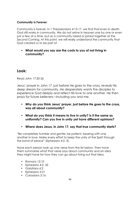## **Community Is Forever:**

Community is forever. In 1 Thessalonians 4:15-17, we find that even in death God still works in community. We do not arrive in heaven one by one or even just a few at a time, but as a community raised or joined together at the Second Coming. At this point, we will really understand the community that God created us to be part of.

## • **What would you say are the costs to you of not living in community?**

# **Look:**

Read John 17:20-26

Jesus' prayer in John 17, just before He goes to the cross, reveals His deep dream for community. He desperately wants the disciples to experience God deeply and reflect His love to one another. He then prays for future believers—including you and me.

- **Why do you think Jesus' prayer, just before He goes to the cross, was all about community?**
- **What do you think it means to live in unity? Is it the same as uniformity? Can you live in unity yet have different opinions?**
- **Where does Jesus, in John 17, say that true community starts?**

"Be completely humble and gentle; be patient, bearing with one another in love. Make every effort to keep the unity of the Spirit through the bond of peace" (Ephesians 4:2, 3).

Have each person look up one verse from the list below. Then have them summarise what that verse says about community and an idea they might have for how they can go about living out that idea.

- Romans 12:10
- Ephesians 4:2, 32
- Galatians 6:2
- Ephesians 5:21
- Colossians 3:16